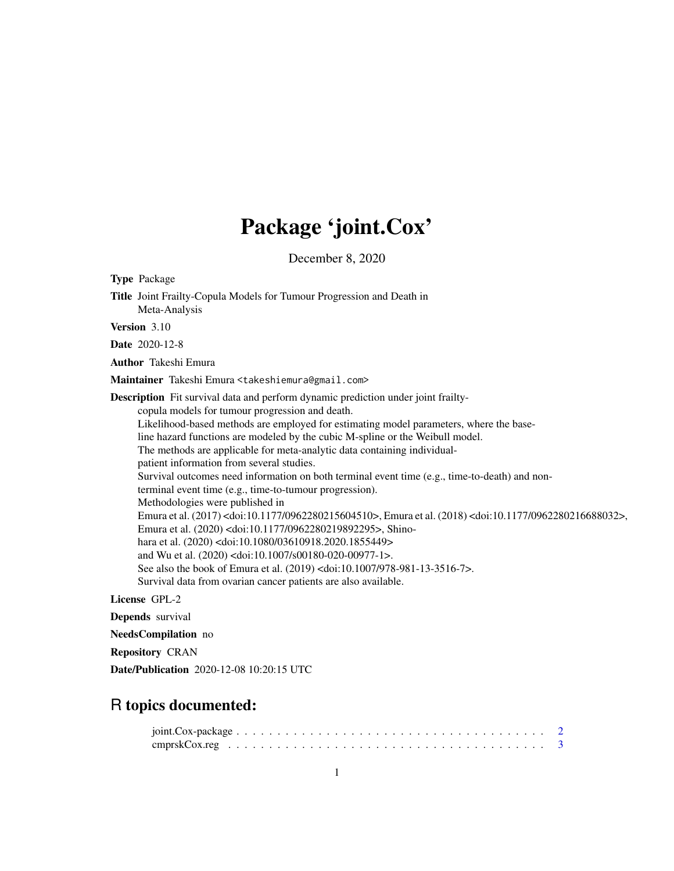# Package 'joint.Cox'

December 8, 2020

| <b>Type Package</b>                                                                                                                                                                                                                                                                                                                                                                                                                                                                                                                                                                                                                                                                                                                                                                                                                                                                                                                                                                                                                                                                                                                                                                                   |
|-------------------------------------------------------------------------------------------------------------------------------------------------------------------------------------------------------------------------------------------------------------------------------------------------------------------------------------------------------------------------------------------------------------------------------------------------------------------------------------------------------------------------------------------------------------------------------------------------------------------------------------------------------------------------------------------------------------------------------------------------------------------------------------------------------------------------------------------------------------------------------------------------------------------------------------------------------------------------------------------------------------------------------------------------------------------------------------------------------------------------------------------------------------------------------------------------------|
| Title Joint Frailty-Copula Models for Tumour Progression and Death in<br>Meta-Analysis                                                                                                                                                                                                                                                                                                                                                                                                                                                                                                                                                                                                                                                                                                                                                                                                                                                                                                                                                                                                                                                                                                                |
| Version 3.10                                                                                                                                                                                                                                                                                                                                                                                                                                                                                                                                                                                                                                                                                                                                                                                                                                                                                                                                                                                                                                                                                                                                                                                          |
| <b>Date</b> 2020-12-8                                                                                                                                                                                                                                                                                                                                                                                                                                                                                                                                                                                                                                                                                                                                                                                                                                                                                                                                                                                                                                                                                                                                                                                 |
| <b>Author</b> Takeshi Emura                                                                                                                                                                                                                                                                                                                                                                                                                                                                                                                                                                                                                                                                                                                                                                                                                                                                                                                                                                                                                                                                                                                                                                           |
| Maintainer Takeshi Emura <takeshiemura@gmail.com></takeshiemura@gmail.com>                                                                                                                                                                                                                                                                                                                                                                                                                                                                                                                                                                                                                                                                                                                                                                                                                                                                                                                                                                                                                                                                                                                            |
| <b>Description</b> Fit survival data and perform dynamic prediction under joint frailty-<br>copula models for tumour progression and death.<br>Likelihood-based methods are employed for estimating model parameters, where the base-<br>line hazard functions are modeled by the cubic M-spline or the Weibull model.<br>The methods are applicable for meta-analytic data containing individual-<br>patient information from several studies.<br>Survival outcomes need information on both terminal event time (e.g., time-to-death) and non-<br>terminal event time (e.g., time-to-tumour progression).<br>Methodologies were published in<br>Emura et al. (2017) <doi:10.1177 0962280215604510="">, Emura et al. (2018) <doi:10.1177 0962280216688032="">,<br/>Emura et al. (2020) <doi:10.1177 0962280219892295="">, Shino-<br/>hara et al. (2020) <doi:10.1080 03610918.2020.1855449=""><br/>and Wu et al. (2020) <doi:10.1007 s00180-020-00977-1="">.<br/>See also the book of Emura et al. (2019) <doi:10.1007 978-981-13-3516-7="">.<br/>Survival data from ovarian cancer patients are also available.</doi:10.1007></doi:10.1007></doi:10.1080></doi:10.1177></doi:10.1177></doi:10.1177> |
| License GPL-2                                                                                                                                                                                                                                                                                                                                                                                                                                                                                                                                                                                                                                                                                                                                                                                                                                                                                                                                                                                                                                                                                                                                                                                         |
| <b>Depends</b> survival                                                                                                                                                                                                                                                                                                                                                                                                                                                                                                                                                                                                                                                                                                                                                                                                                                                                                                                                                                                                                                                                                                                                                                               |

NeedsCompilation no

Repository CRAN

Date/Publication 2020-12-08 10:20:15 UTC

## R topics documented: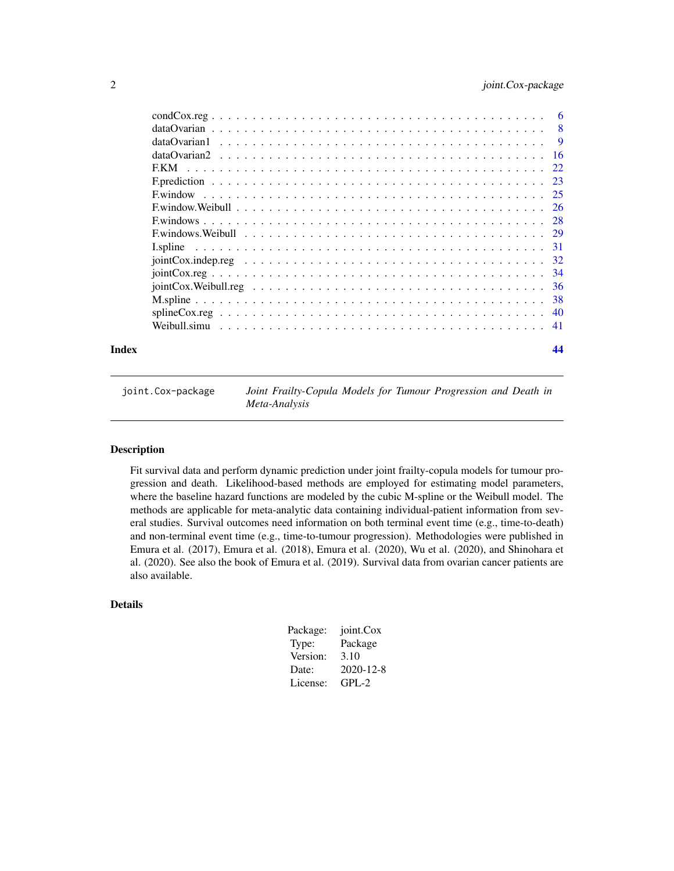<span id="page-1-0"></span>

| Index | 44 |
|-------|----|

joint.Cox-package *Joint Frailty-Copula Models for Tumour Progression and Death in Meta-Analysis*

#### Description

Fit survival data and perform dynamic prediction under joint frailty-copula models for tumour progression and death. Likelihood-based methods are employed for estimating model parameters, where the baseline hazard functions are modeled by the cubic M-spline or the Weibull model. The methods are applicable for meta-analytic data containing individual-patient information from several studies. Survival outcomes need information on both terminal event time (e.g., time-to-death) and non-terminal event time (e.g., time-to-tumour progression). Methodologies were published in Emura et al. (2017), Emura et al. (2018), Emura et al. (2020), Wu et al. (2020), and Shinohara et al. (2020). See also the book of Emura et al. (2019). Survival data from ovarian cancer patients are also available.

#### Details

| Package: | joint.Cox |
|----------|-----------|
| Type:    | Package   |
| Version: | 3.10      |
| Date:    | 2020-12-8 |
| License: | GPL-2     |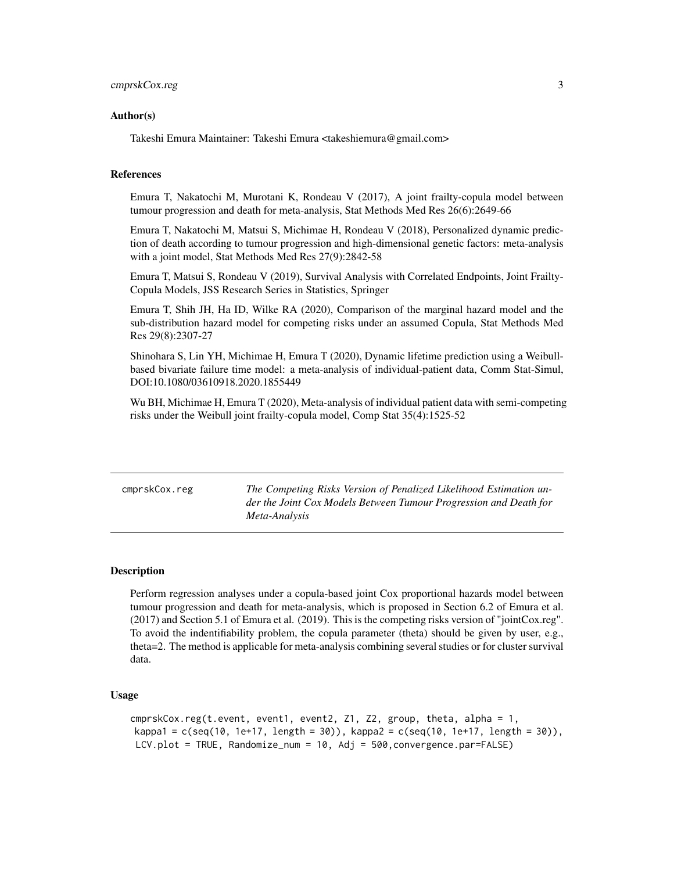#### <span id="page-2-0"></span>Author(s)

Takeshi Emura Maintainer: Takeshi Emura <takeshiemura@gmail.com>

#### References

Emura T, Nakatochi M, Murotani K, Rondeau V (2017), A joint frailty-copula model between tumour progression and death for meta-analysis, Stat Methods Med Res 26(6):2649-66

Emura T, Nakatochi M, Matsui S, Michimae H, Rondeau V (2018), Personalized dynamic prediction of death according to tumour progression and high-dimensional genetic factors: meta-analysis with a joint model, Stat Methods Med Res 27(9):2842-58

Emura T, Matsui S, Rondeau V (2019), Survival Analysis with Correlated Endpoints, Joint Frailty-Copula Models, JSS Research Series in Statistics, Springer

Emura T, Shih JH, Ha ID, Wilke RA (2020), Comparison of the marginal hazard model and the sub-distribution hazard model for competing risks under an assumed Copula, Stat Methods Med Res 29(8):2307-27

Shinohara S, Lin YH, Michimae H, Emura T (2020), Dynamic lifetime prediction using a Weibullbased bivariate failure time model: a meta-analysis of individual-patient data, Comm Stat-Simul, DOI:10.1080/03610918.2020.1855449

Wu BH, Michimae H, Emura T (2020), Meta-analysis of individual patient data with semi-competing risks under the Weibull joint frailty-copula model, Comp Stat 35(4):1525-52

cmprskCox.reg *The Competing Risks Version of Penalized Likelihood Estimation under the Joint Cox Models Between Tumour Progression and Death for Meta-Analysis*

#### **Description**

Perform regression analyses under a copula-based joint Cox proportional hazards model between tumour progression and death for meta-analysis, which is proposed in Section 6.2 of Emura et al. (2017) and Section 5.1 of Emura et al. (2019). This is the competing risks version of "jointCox.reg". To avoid the indentifiability problem, the copula parameter (theta) should be given by user, e.g., theta=2. The method is applicable for meta-analysis combining several studies or for cluster survival data.

#### Usage

```
cmprskCox.reg(t.event, event1, event2, Z1, Z2, group, theta, alpha = 1,
kappa1 = c(seq(10, 1e+17, length = 30)), kappa2 = c(seq(10, 1e+17, length = 30)),
LCV.plot = TRUE, Randomize_num = 10, Adj = 500,convergence.par=FALSE)
```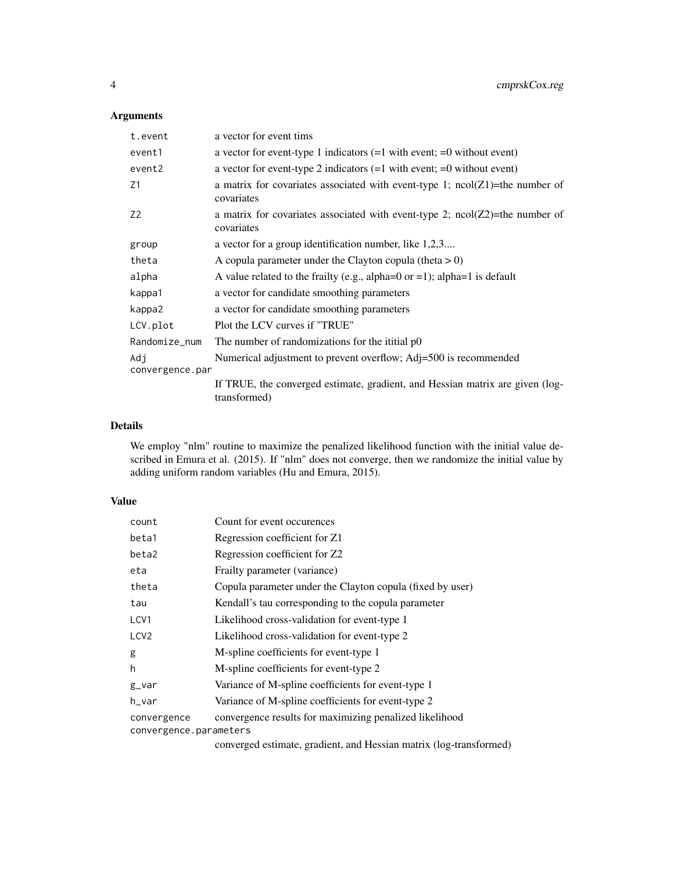### Arguments

| t.event                | a vector for event tims                                                                       |
|------------------------|-----------------------------------------------------------------------------------------------|
| event1                 | a vector for event-type 1 indicators $(=1$ with event; $=0$ without event)                    |
| event2                 | a vector for event-type 2 indicators $(=1$ with event; $=0$ without event)                    |
| Z1                     | a matrix for covariates associated with event-type 1; $ncol(Z1)$ =the number of<br>covariates |
| Z <sub>2</sub>         | a matrix for covariates associated with event-type 2; $ncol(Z2)$ =the number of<br>covariates |
| group                  | a vector for a group identification number, like 1,2,3                                        |
| theta                  | A copula parameter under the Clayton copula (theta $> 0$ )                                    |
| alpha                  | A value related to the frailty (e.g., alpha= $0$ or =1); alpha= $1$ is default                |
| kappa1                 | a vector for candidate smoothing parameters                                                   |
| kappa2                 | a vector for candidate smoothing parameters                                                   |
| LCV.plot               | Plot the LCV curves if "TRUE"                                                                 |
| Randomize_num          | The number of randomizations for the ititial p0                                               |
| Adj<br>convergence.par | Numerical adjustment to prevent overflow; Adj=500 is recommended                              |
|                        | If TRUE, the converged estimate, gradient, and Hessian matrix are given (log-<br>transformed) |

#### Details

We employ "nlm" routine to maximize the penalized likelihood function with the initial value described in Emura et al. (2015). If "nlm" does not converge, then we randomize the initial value by adding uniform random variables (Hu and Emura, 2015).

#### Value

| count            | Count for event occurences                                |  |  |  |  |  |
|------------------|-----------------------------------------------------------|--|--|--|--|--|
| beta1            | Regression coefficient for Z1                             |  |  |  |  |  |
| beta2            | Regression coefficient for Z2                             |  |  |  |  |  |
| eta              | Frailty parameter (variance)                              |  |  |  |  |  |
| theta            | Copula parameter under the Clayton copula (fixed by user) |  |  |  |  |  |
| tau              | Kendall's tau corresponding to the copula parameter       |  |  |  |  |  |
| LCV <sub>1</sub> | Likelihood cross-validation for event-type 1              |  |  |  |  |  |
| LCV <sub>2</sub> | Likelihood cross-validation for event-type 2              |  |  |  |  |  |
| g                | M-spline coefficients for event-type 1                    |  |  |  |  |  |
| h                | M-spline coefficients for event-type 2                    |  |  |  |  |  |
| $g_{v}$ var      | Variance of M-spline coefficients for event-type 1        |  |  |  |  |  |
| h_var            | Variance of M-spline coefficients for event-type 2        |  |  |  |  |  |
| convergence      | convergence results for maximizing penalized likelihood   |  |  |  |  |  |
|                  | convergence.parameters                                    |  |  |  |  |  |

converged estimate, gradient, and Hessian matrix (log-transformed)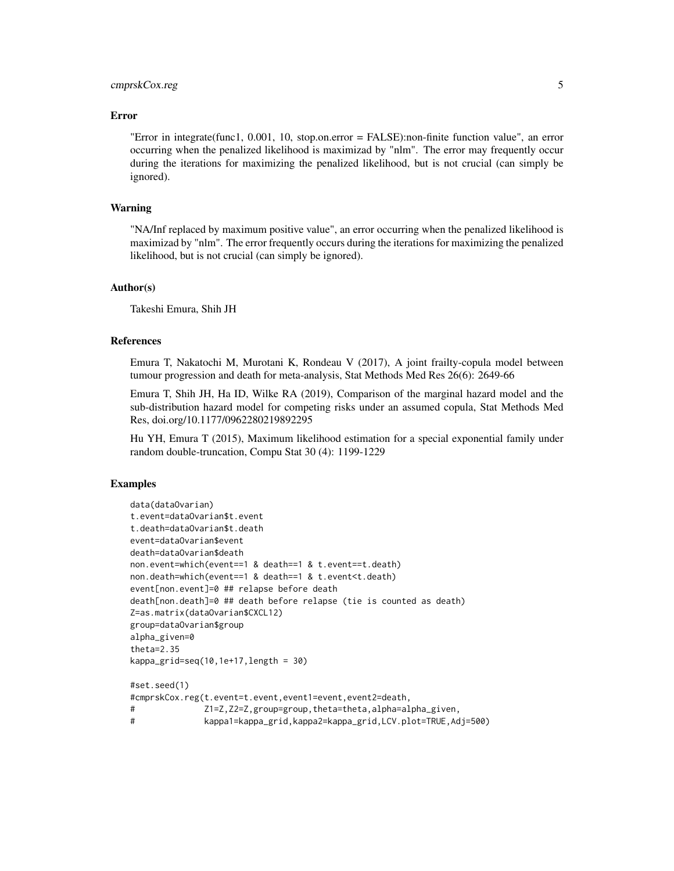#### cmprskCox.reg 5

#### Error

"Error in integrate(func1, 0.001, 10, stop.on.error = FALSE):non-finite function value", an error occurring when the penalized likelihood is maximizad by "nlm". The error may frequently occur during the iterations for maximizing the penalized likelihood, but is not crucial (can simply be ignored).

#### Warning

"NA/Inf replaced by maximum positive value", an error occurring when the penalized likelihood is maximizad by "nlm". The error frequently occurs during the iterations for maximizing the penalized likelihood, but is not crucial (can simply be ignored).

#### Author(s)

Takeshi Emura, Shih JH

#### References

Emura T, Nakatochi M, Murotani K, Rondeau V (2017), A joint frailty-copula model between tumour progression and death for meta-analysis, Stat Methods Med Res 26(6): 2649-66

Emura T, Shih JH, Ha ID, Wilke RA (2019), Comparison of the marginal hazard model and the sub-distribution hazard model for competing risks under an assumed copula, Stat Methods Med Res, doi.org/10.1177/0962280219892295

Hu YH, Emura T (2015), Maximum likelihood estimation for a special exponential family under random double-truncation, Compu Stat 30 (4): 1199-1229

#### Examples

```
data(dataOvarian)
t.event=dataOvarian$t.event
t.death=dataOvarian$t.death
event=dataOvarian$event
death=dataOvarian$death
non.event=which(event==1 & death==1 & t.event==t.death)
non.death=which(event==1 & death==1 & t.event<t.death)
event[non.event]=0 ## relapse before death
death[non.death]=0 ## death before relapse (tie is counted as death)
Z=as.matrix(dataOvarian$CXCL12)
group=dataOvarian$group
alpha_given=0
theta=2.35
kappa_grid=seq(10,1e+17,length = 30)
#set.seed(1)
#cmprskCox.reg(t.event=t.event,event1=event,event2=death,
```

```
# Z1=Z,Z2=Z,group=group,theta=theta,alpha=alpha_given,
# kappa1=kappa_grid,kappa2=kappa_grid,LCV.plot=TRUE,Adj=500)
```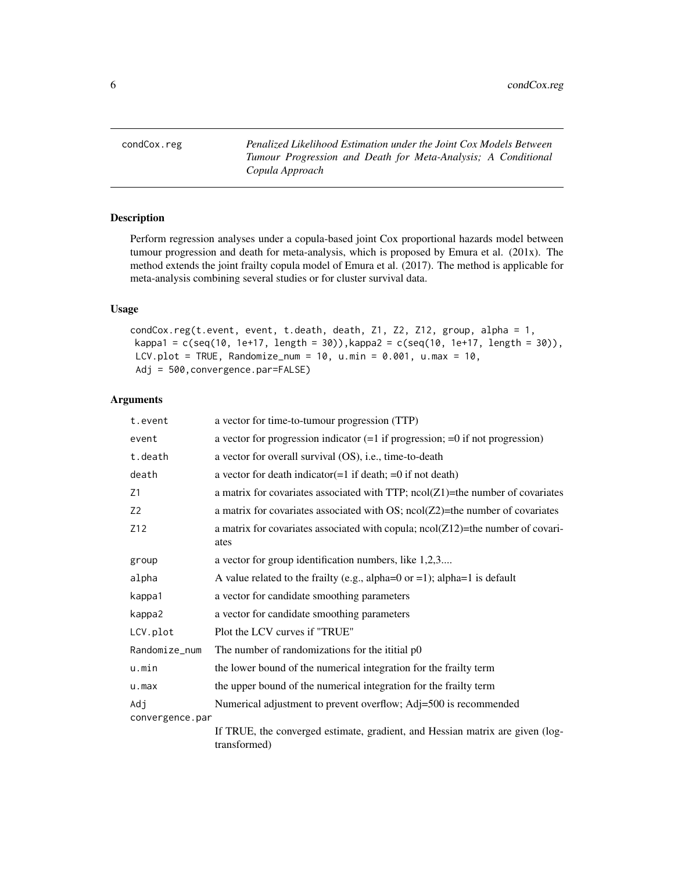<span id="page-5-0"></span>condCox.reg *Penalized Likelihood Estimation under the Joint Cox Models Between Tumour Progression and Death for Meta-Analysis; A Conditional Copula Approach*

#### Description

Perform regression analyses under a copula-based joint Cox proportional hazards model between tumour progression and death for meta-analysis, which is proposed by Emura et al. (201x). The method extends the joint frailty copula model of Emura et al. (2017). The method is applicable for meta-analysis combining several studies or for cluster survival data.

#### Usage

```
condCox.reg(t.event, event, t.death, death, Z1, Z2, Z12, group, alpha = 1,
kappa = c(seq(10, 1e+17, 1ength = 30)), kappa = c(seq(10, 1e+17, 1ength = 30)),
LCV.plot = TRUE, Randomize_num = 10, u.min = 0.001, u.max = 10,
Adj = 500,convergence.par=FALSE)
```
#### Arguments

| t.event         | a vector for time-to-tumour progression (TTP)                                                 |
|-----------------|-----------------------------------------------------------------------------------------------|
| event           | a vector for progression indicator $(=1$ if progression; $=0$ if not progression)             |
| t.death         | a vector for overall survival (OS), i.e., time-to-death                                       |
| death           | a vector for death indicator $(=1$ if death; $=0$ if not death)                               |
| Ζ1              | a matrix for covariates associated with TTP; $ncol(Z1)$ =the number of covariates             |
| Z2              | a matrix for covariates associated with OS; $ncol(Z2)$ =the number of covariates              |
| Z12             | a matrix for covariates associated with copula; $ncol(Z12)$ =the number of covari-<br>ates    |
| group           | a vector for group identification numbers, like 1,2,3                                         |
| alpha           | A value related to the frailty (e.g., alpha= $0$ or =1); alpha= $1$ is default                |
| kappa1          | a vector for candidate smoothing parameters                                                   |
| kappa2          | a vector for candidate smoothing parameters                                                   |
| LCV.plot        | Plot the LCV curves if "TRUE"                                                                 |
| Randomize_num   | The number of randomizations for the ititial p0                                               |
| u.min           | the lower bound of the numerical integration for the frailty term                             |
| u.max           | the upper bound of the numerical integration for the frailty term                             |
| Adj             | Numerical adjustment to prevent overflow; Adj=500 is recommended                              |
| convergence.par |                                                                                               |
|                 | If TRUE, the converged estimate, gradient, and Hessian matrix are given (log-<br>transformed) |
|                 |                                                                                               |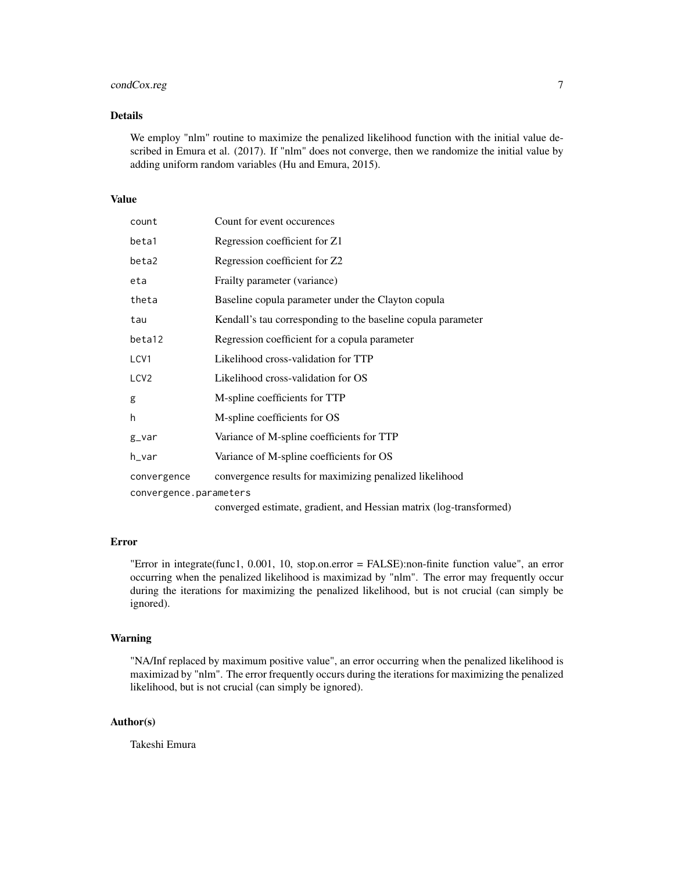#### condCox.reg 7

#### Details

We employ "nlm" routine to maximize the penalized likelihood function with the initial value described in Emura et al. (2017). If "nlm" does not converge, then we randomize the initial value by adding uniform random variables (Hu and Emura, 2015).

#### Value

| count                  | Count for event occurences                                         |
|------------------------|--------------------------------------------------------------------|
| beta1                  | Regression coefficient for Z1                                      |
| beta2                  | Regression coefficient for Z2                                      |
| eta                    | Frailty parameter (variance)                                       |
| theta                  | Baseline copula parameter under the Clayton copula                 |
| tau                    | Kendall's tau corresponding to the baseline copula parameter       |
| beta12                 | Regression coefficient for a copula parameter                      |
| LCV1                   | Likelihood cross-validation for TTP                                |
| LCV <sub>2</sub>       | Likelihood cross-validation for OS                                 |
| g                      | M-spline coefficients for TTP                                      |
| h                      | M-spline coefficients for OS                                       |
| g_var                  | Variance of M-spline coefficients for TTP                          |
| h_var                  | Variance of M-spline coefficients for OS                           |
| convergence            | convergence results for maximizing penalized likelihood            |
| convergence.parameters |                                                                    |
|                        | converged estimate, gradient, and Hessian matrix (log-transformed) |

#### Error

"Error in integrate(func1, 0.001, 10, stop.on.error = FALSE):non-finite function value", an error occurring when the penalized likelihood is maximizad by "nlm". The error may frequently occur during the iterations for maximizing the penalized likelihood, but is not crucial (can simply be ignored).

#### Warning

"NA/Inf replaced by maximum positive value", an error occurring when the penalized likelihood is maximizad by "nlm". The error frequently occurs during the iterations for maximizing the penalized likelihood, but is not crucial (can simply be ignored).

#### Author(s)

Takeshi Emura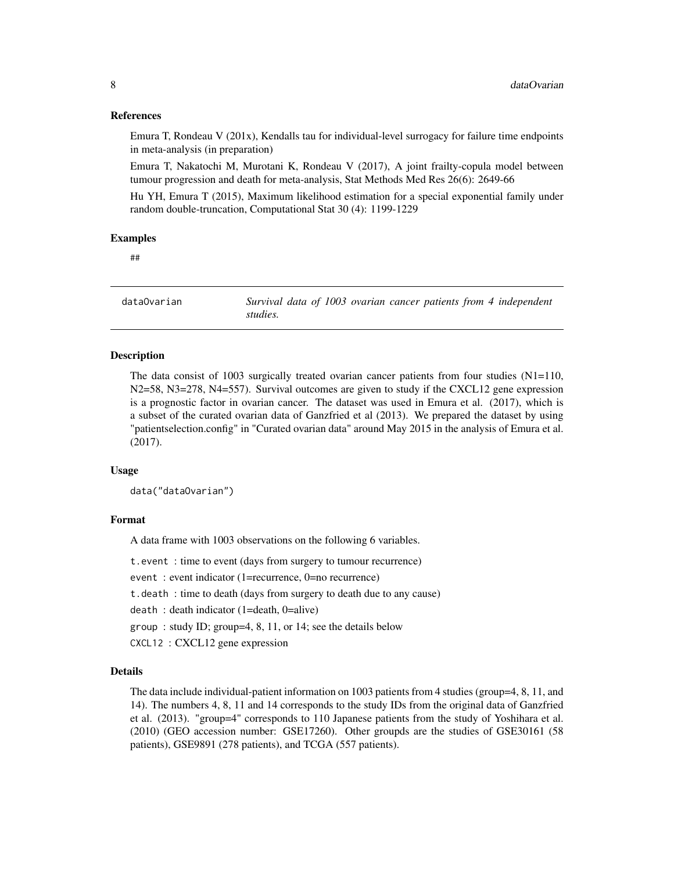#### <span id="page-7-0"></span>References

Emura T, Rondeau V (201x), Kendalls tau for individual-level surrogacy for failure time endpoints in meta-analysis (in preparation)

Emura T, Nakatochi M, Murotani K, Rondeau V (2017), A joint frailty-copula model between tumour progression and death for meta-analysis, Stat Methods Med Res 26(6): 2649-66

Hu YH, Emura T (2015), Maximum likelihood estimation for a special exponential family under random double-truncation, Computational Stat 30 (4): 1199-1229

#### Examples

##

dataOvarian *Survival data of 1003 ovarian cancer patients from 4 independent studies.*

#### Description

The data consist of 1003 surgically treated ovarian cancer patients from four studies (N1=110, N2=58, N3=278, N4=557). Survival outcomes are given to study if the CXCL12 gene expression is a prognostic factor in ovarian cancer. The dataset was used in Emura et al. (2017), which is a subset of the curated ovarian data of Ganzfried et al (2013). We prepared the dataset by using "patientselection.config" in "Curated ovarian data" around May 2015 in the analysis of Emura et al. (2017).

#### Usage

data("dataOvarian")

#### Format

A data frame with 1003 observations on the following 6 variables.

t.event : time to event (days from surgery to tumour recurrence)

event : event indicator (1=recurrence, 0=no recurrence)

t.death : time to death (days from surgery to death due to any cause)

death : death indicator (1=death, 0=alive)

group : study ID; group=4, 8, 11, or 14; see the details below

CXCL12 : CXCL12 gene expression

#### Details

The data include individual-patient information on 1003 patients from 4 studies (group=4, 8, 11, and 14). The numbers 4, 8, 11 and 14 corresponds to the study IDs from the original data of Ganzfried et al. (2013). "group=4" corresponds to 110 Japanese patients from the study of Yoshihara et al. (2010) (GEO accession number: GSE17260). Other groupds are the studies of GSE30161 (58 patients), GSE9891 (278 patients), and TCGA (557 patients).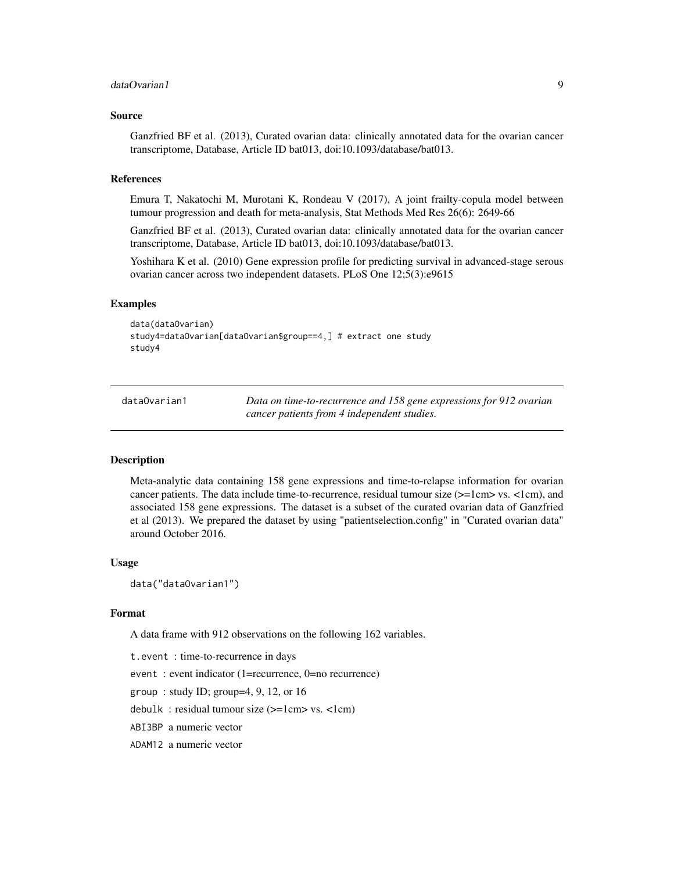#### <span id="page-8-0"></span>dataOvarian1 9

#### Source

Ganzfried BF et al. (2013), Curated ovarian data: clinically annotated data for the ovarian cancer transcriptome, Database, Article ID bat013, doi:10.1093/database/bat013.

#### **References**

Emura T, Nakatochi M, Murotani K, Rondeau V (2017), A joint frailty-copula model between tumour progression and death for meta-analysis, Stat Methods Med Res 26(6): 2649-66

Ganzfried BF et al. (2013), Curated ovarian data: clinically annotated data for the ovarian cancer transcriptome, Database, Article ID bat013, doi:10.1093/database/bat013.

Yoshihara K et al. (2010) Gene expression profile for predicting survival in advanced-stage serous ovarian cancer across two independent datasets. PLoS One 12;5(3):e9615

#### Examples

```
data(dataOvarian)
study4=dataOvarian[dataOvarian$group==4,] # extract one study
study4
```

| dataOvarian1 |  |
|--------------|--|
|              |  |
|              |  |
|              |  |
|              |  |

Data on time-to-recurrence and 158 gene expressions for 912 ovarian *cancer patients from 4 independent studies.*

#### Description

Meta-analytic data containing 158 gene expressions and time-to-relapse information for ovarian cancer patients. The data include time-to-recurrence, residual tumour size (>=1cm> vs. <1cm), and associated 158 gene expressions. The dataset is a subset of the curated ovarian data of Ganzfried et al (2013). We prepared the dataset by using "patientselection.config" in "Curated ovarian data" around October 2016.

#### Usage

data("dataOvarian1")

#### Format

A data frame with 912 observations on the following 162 variables.

t.event : time-to-recurrence in days event : event indicator (1=recurrence, 0=no recurrence) group: study ID; group=4, 9, 12, or  $16$ debulk : residual tumour size  $(>=1cm>vs. <1cm)$ ABI3BP a numeric vector ADAM12 a numeric vector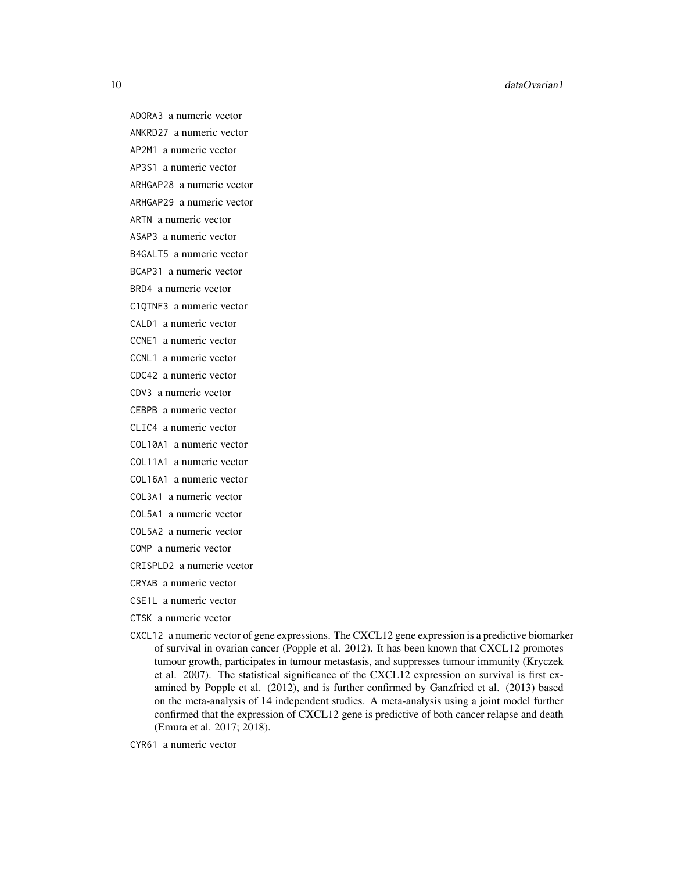10 dataOvarian1

ADORA3 a numeric vector ANKRD27 a numeric vector AP2M1 a numeric vector AP3S1 a numeric vector ARHGAP28 a numeric vector ARHGAP29 a numeric vector ARTN a numeric vector ASAP3 a numeric vector B4GALT5 a numeric vector BCAP31 a numeric vector BRD4 a numeric vector C1QTNF3 a numeric vector CALD1 a numeric vector CCNE1 a numeric vector CCNL1 a numeric vector CDC42 a numeric vector CDV3 a numeric vector CEBPB a numeric vector CLIC4 a numeric vector COL10A1 a numeric vector COL11A1 a numeric vector COL16A1 a numeric vector COL3A1 a numeric vector COL5A1 a numeric vector COL5A2 a numeric vector COMP a numeric vector

- CRISPLD2 a numeric vector
- CRYAB a numeric vector
- CSE1L a numeric vector
- CTSK a numeric vector
- CXCL12 a numeric vector of gene expressions. The CXCL12 gene expression is a predictive biomarker of survival in ovarian cancer (Popple et al. 2012). It has been known that CXCL12 promotes tumour growth, participates in tumour metastasis, and suppresses tumour immunity (Kryczek et al. 2007). The statistical significance of the CXCL12 expression on survival is first examined by Popple et al. (2012), and is further confirmed by Ganzfried et al. (2013) based on the meta-analysis of 14 independent studies. A meta-analysis using a joint model further confirmed that the expression of CXCL12 gene is predictive of both cancer relapse and death (Emura et al. 2017; 2018).

CYR61 a numeric vector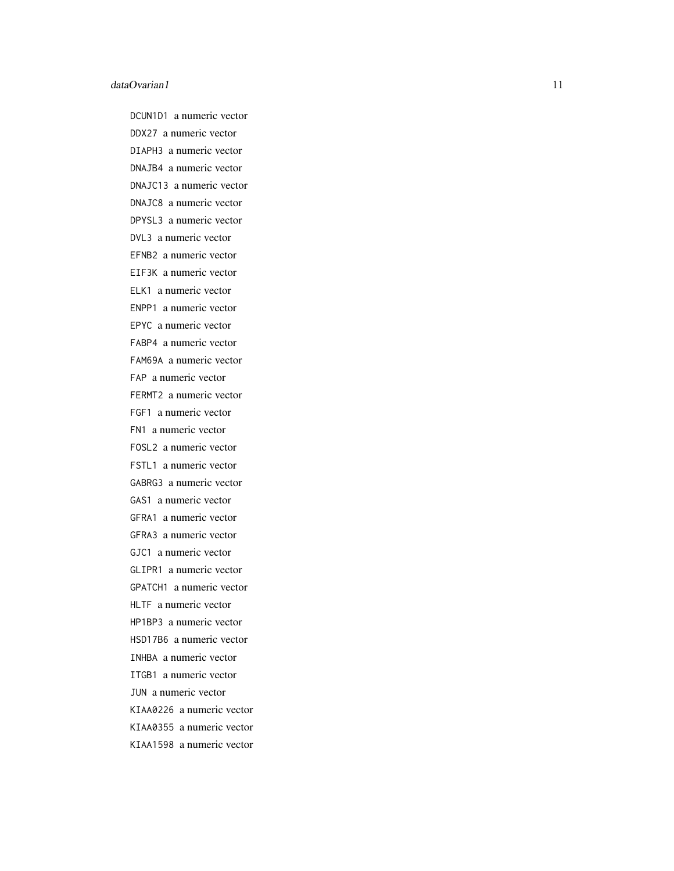#### dataOvarian1 11

DCUN1D1 a numeric vector DDX27 a numeric vector DIAPH3 a numeric vector DNAJB4 a numeric vector DNAJC13 a numeric vector DNAJC8 a numeric vector DPYSL3 a numeric vector DVL3 a numeric vector EFNB2 a numeric vector EIF3K a numeric vector ELK1 a numeric vector ENPP1 a numeric vector EPYC a numeric vector FABP4 a numeric vector FAM69A a numeric vector FAP a numeric vector FERMT2 a numeric vector FGF1 a numeric vector FN1 a numeric vector FOSL2 a numeric vector FSTL1 a numeric vector GABRG3 a numeric vector GAS1 a numeric vector GFRA1 a numeric vector GFRA3 a numeric vector GJC1 a numeric vector GLIPR1 a numeric vector GPATCH1 a numeric vector HLTF a numeric vector HP1BP3 a numeric vector HSD17B6 a numeric vector INHBA a numeric vector ITGB1 a numeric vector JUN a numeric vector KIAA0226 a numeric vector KIAA0355 a numeric vector KIAA1598 a numeric vector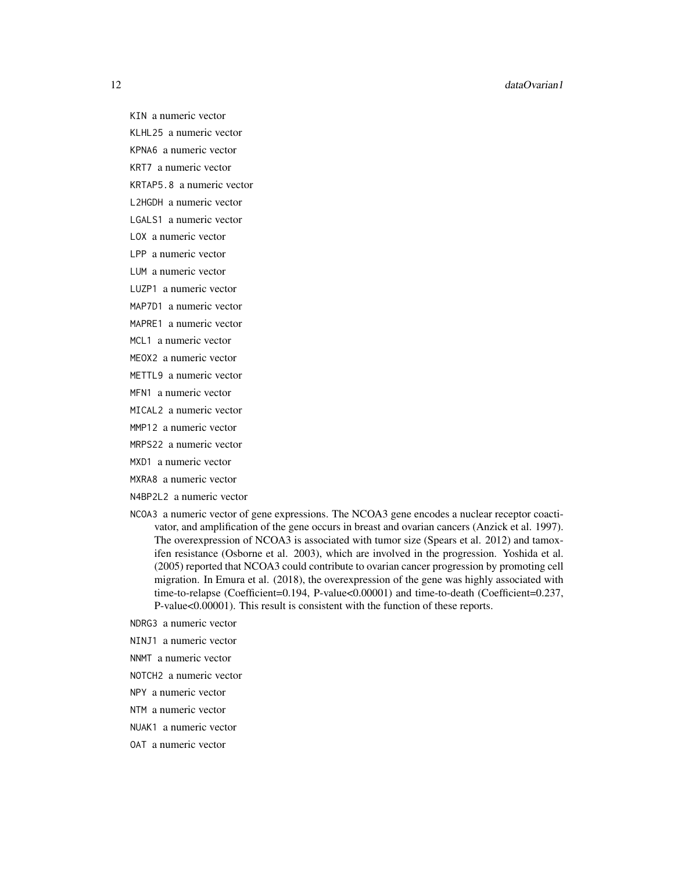12 dataOvarian1

KIN a numeric vector

KLHL25 a numeric vector

KPNA6 a numeric vector

KRT7 a numeric vector

KRTAP5.8 a numeric vector

L2HGDH a numeric vector

LGALS1 a numeric vector

LOX a numeric vector

LPP a numeric vector

LUM a numeric vector

LUZP1 a numeric vector

MAP7D1 a numeric vector

MAPRE1 a numeric vector

MCL1 a numeric vector

MEOX2 a numeric vector

METTL9 a numeric vector

MFN1 a numeric vector

MICAL2 a numeric vector

MMP12 a numeric vector

MRPS22 a numeric vector

MXD1 a numeric vector

MXRA8 a numeric vector

N4BP2L2 a numeric vector

NCOA3 a numeric vector of gene expressions. The NCOA3 gene encodes a nuclear receptor coactivator, and amplification of the gene occurs in breast and ovarian cancers (Anzick et al. 1997). The overexpression of NCOA3 is associated with tumor size (Spears et al. 2012) and tamoxifen resistance (Osborne et al. 2003), which are involved in the progression. Yoshida et al. (2005) reported that NCOA3 could contribute to ovarian cancer progression by promoting cell migration. In Emura et al. (2018), the overexpression of the gene was highly associated with time-to-relapse (Coefficient=0.194, P-value<0.00001) and time-to-death (Coefficient=0.237, P-value<0.00001). This result is consistent with the function of these reports.

NDRG3 a numeric vector

NINJ1 a numeric vector

NNMT a numeric vector

NOTCH2 a numeric vector

NPY a numeric vector

NTM a numeric vector

NUAK1 a numeric vector

OAT a numeric vector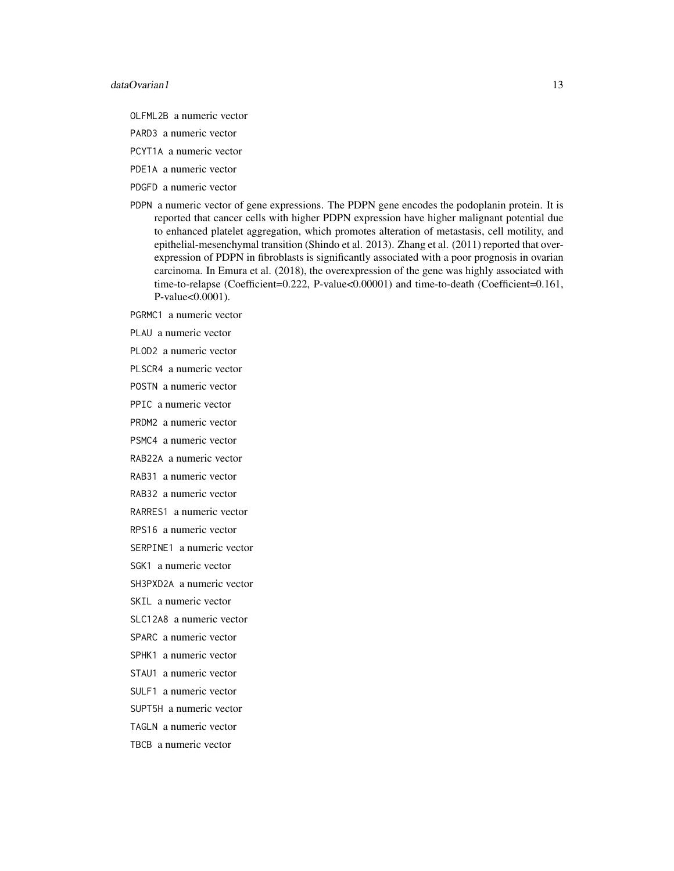- OLFML2B a numeric vector
- PARD3 a numeric vector
- PCYT1A a numeric vector
- PDE1A a numeric vector
- PDGFD a numeric vector
- PDPN a numeric vector of gene expressions. The PDPN gene encodes the podoplanin protein. It is reported that cancer cells with higher PDPN expression have higher malignant potential due to enhanced platelet aggregation, which promotes alteration of metastasis, cell motility, and epithelial-mesenchymal transition (Shindo et al. 2013). Zhang et al. (2011) reported that overexpression of PDPN in fibroblasts is significantly associated with a poor prognosis in ovarian carcinoma. In Emura et al. (2018), the overexpression of the gene was highly associated with time-to-relapse (Coefficient=0.222, P-value<0.00001) and time-to-death (Coefficient=0.161, P-value<0.0001).

PGRMC1 a numeric vector

PLAU a numeric vector

PLOD2 a numeric vector

PLSCR4 a numeric vector

POSTN a numeric vector

PPIC a numeric vector

PRDM2 a numeric vector

PSMC4 a numeric vector

RAB22A a numeric vector

RAB31 a numeric vector

RAB32 a numeric vector

RARRES1 a numeric vector

RPS16 a numeric vector

SERPINE1 a numeric vector

SGK1 a numeric vector

SH3PXD2A a numeric vector

SKIL a numeric vector

SLC12A8 a numeric vector

SPARC a numeric vector

- SPHK1 a numeric vector
- STAU1 a numeric vector
- SULF1 a numeric vector

SUPT5H a numeric vector

TAGLN a numeric vector TBCB a numeric vector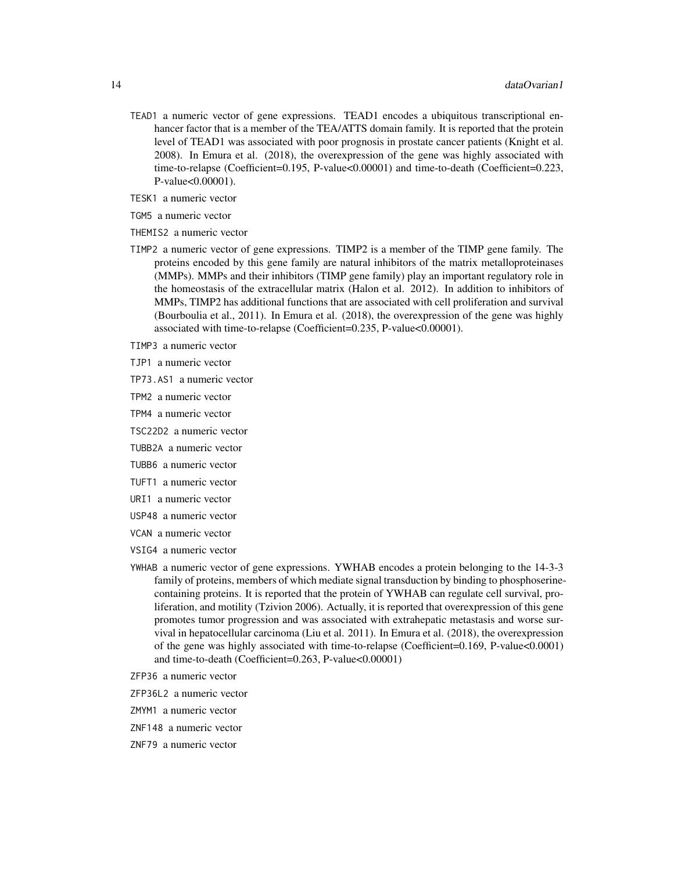- TEAD1 a numeric vector of gene expressions. TEAD1 encodes a ubiquitous transcriptional enhancer factor that is a member of the TEA/ATTS domain family. It is reported that the protein level of TEAD1 was associated with poor prognosis in prostate cancer patients (Knight et al. 2008). In Emura et al. (2018), the overexpression of the gene was highly associated with time-to-relapse (Coefficient=0.195, P-value<0.00001) and time-to-death (Coefficient=0.223, P-value<0.00001).
- TESK1 a numeric vector
- TGM5 a numeric vector
- THEMIS2 a numeric vector
- TIMP2 a numeric vector of gene expressions. TIMP2 is a member of the TIMP gene family. The proteins encoded by this gene family are natural inhibitors of the matrix metalloproteinases (MMPs). MMPs and their inhibitors (TIMP gene family) play an important regulatory role in the homeostasis of the extracellular matrix (Halon et al. 2012). In addition to inhibitors of MMPs, TIMP2 has additional functions that are associated with cell proliferation and survival (Bourboulia et al., 2011). In Emura et al. (2018), the overexpression of the gene was highly associated with time-to-relapse (Coefficient=0.235, P-value<0.00001).
- TIMP3 a numeric vector
- TJP1 a numeric vector
- TP73.AS1 a numeric vector
- TPM2 a numeric vector
- TPM4 a numeric vector
- TSC22D2 a numeric vector
- TUBB2A a numeric vector
- TUBB6 a numeric vector
- TUFT1 a numeric vector
- URI1 a numeric vector
- USP48 a numeric vector
- VCAN a numeric vector
- VSIG4 a numeric vector
- YWHAB a numeric vector of gene expressions. YWHAB encodes a protein belonging to the 14-3-3 family of proteins, members of which mediate signal transduction by binding to phosphoserinecontaining proteins. It is reported that the protein of YWHAB can regulate cell survival, proliferation, and motility (Tzivion 2006). Actually, it is reported that overexpression of this gene promotes tumor progression and was associated with extrahepatic metastasis and worse survival in hepatocellular carcinoma (Liu et al. 2011). In Emura et al. (2018), the overexpression of the gene was highly associated with time-to-relapse (Coefficient=0.169, P-value<0.0001) and time-to-death (Coefficient=0.263, P-value<0.00001)
- ZFP36 a numeric vector
- ZFP36L2 a numeric vector
- ZMYM1 a numeric vector
- ZNF148 a numeric vector
- ZNF79 a numeric vector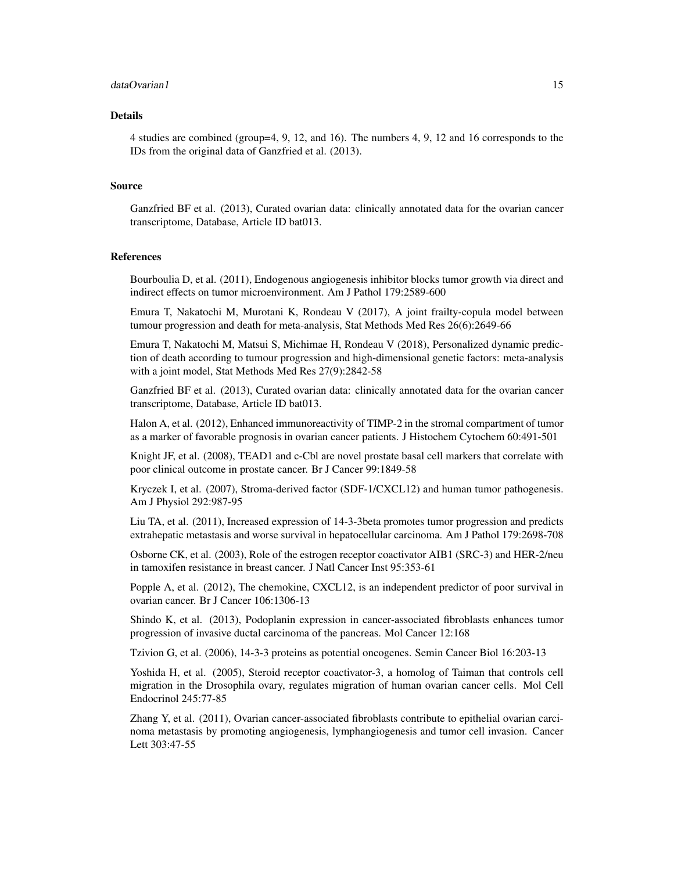#### dataOvarian1 15

#### Details

4 studies are combined (group=4, 9, 12, and 16). The numbers 4, 9, 12 and 16 corresponds to the IDs from the original data of Ganzfried et al. (2013).

#### Source

Ganzfried BF et al. (2013), Curated ovarian data: clinically annotated data for the ovarian cancer transcriptome, Database, Article ID bat013.

#### **References**

Bourboulia D, et al. (2011), Endogenous angiogenesis inhibitor blocks tumor growth via direct and indirect effects on tumor microenvironment. Am J Pathol 179:2589-600

Emura T, Nakatochi M, Murotani K, Rondeau V (2017), A joint frailty-copula model between tumour progression and death for meta-analysis, Stat Methods Med Res 26(6):2649-66

Emura T, Nakatochi M, Matsui S, Michimae H, Rondeau V (2018), Personalized dynamic prediction of death according to tumour progression and high-dimensional genetic factors: meta-analysis with a joint model, Stat Methods Med Res 27(9):2842-58

Ganzfried BF et al. (2013), Curated ovarian data: clinically annotated data for the ovarian cancer transcriptome, Database, Article ID bat013.

Halon A, et al. (2012), Enhanced immunoreactivity of TIMP-2 in the stromal compartment of tumor as a marker of favorable prognosis in ovarian cancer patients. J Histochem Cytochem 60:491-501

Knight JF, et al. (2008), TEAD1 and c-Cbl are novel prostate basal cell markers that correlate with poor clinical outcome in prostate cancer. Br J Cancer 99:1849-58

Kryczek I, et al. (2007), Stroma-derived factor (SDF-1/CXCL12) and human tumor pathogenesis. Am J Physiol 292:987-95

Liu TA, et al. (2011), Increased expression of 14-3-3beta promotes tumor progression and predicts extrahepatic metastasis and worse survival in hepatocellular carcinoma. Am J Pathol 179:2698-708

Osborne CK, et al. (2003), Role of the estrogen receptor coactivator AIB1 (SRC-3) and HER-2/neu in tamoxifen resistance in breast cancer. J Natl Cancer Inst 95:353-61

Popple A, et al. (2012), The chemokine, CXCL12, is an independent predictor of poor survival in ovarian cancer. Br J Cancer 106:1306-13

Shindo K, et al. (2013), Podoplanin expression in cancer-associated fibroblasts enhances tumor progression of invasive ductal carcinoma of the pancreas. Mol Cancer 12:168

Tzivion G, et al. (2006), 14-3-3 proteins as potential oncogenes. Semin Cancer Biol 16:203-13

Yoshida H, et al. (2005), Steroid receptor coactivator-3, a homolog of Taiman that controls cell migration in the Drosophila ovary, regulates migration of human ovarian cancer cells. Mol Cell Endocrinol 245:77-85

Zhang Y, et al. (2011), Ovarian cancer-associated fibroblasts contribute to epithelial ovarian carcinoma metastasis by promoting angiogenesis, lymphangiogenesis and tumor cell invasion. Cancer Lett 303:47-55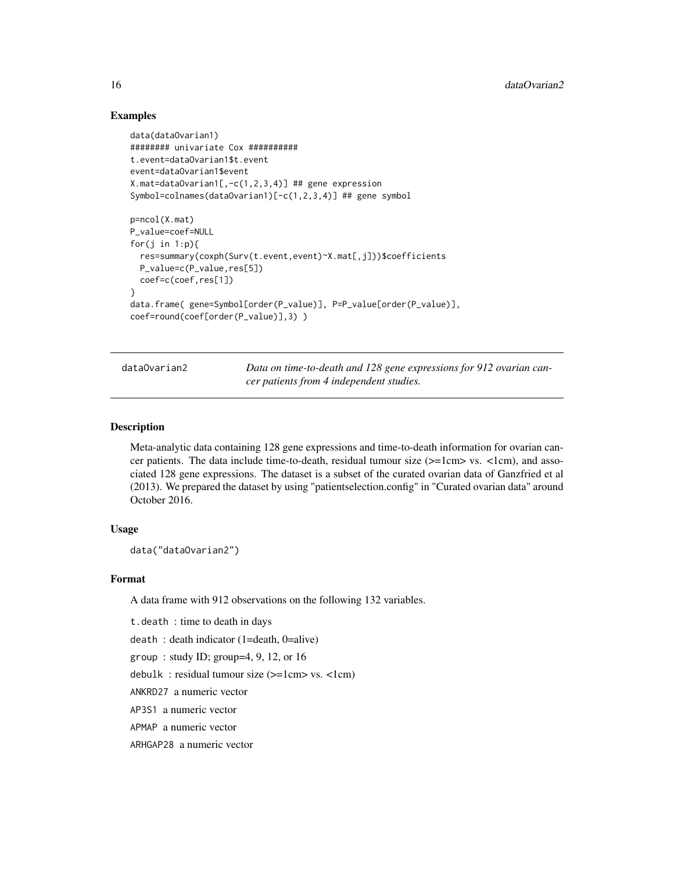#### Examples

```
data(dataOvarian1)
######## univariate Cox ##########
t.event=dataOvarian1$t.event
event=dataOvarian1$event
X.mat=dataOvarian1[,-c(1,2,3,4)] ## gene expression
Symbol=colnames(dataOvarian1)[-c(1,2,3,4)] ## gene symbol
p=ncol(X.mat)
P_value=coef=NULL
for(j in 1:p){
 res=summary(coxph(Surv(t.event,event)~X.mat[,j]))$coefficients
 P_value=c(P_value,res[5])
 coef=c(coef,res[1])
}
data.frame( gene=Symbol[order(P_value)], P=P_value[order(P_value)],
coef=round(coef[order(P_value)],3) )
```
dataOvarian2 *Data on time-to-death and 128 gene expressions for 912 ovarian cancer patients from 4 independent studies.*

#### Description

Meta-analytic data containing 128 gene expressions and time-to-death information for ovarian cancer patients. The data include time-to-death, residual tumour size  $(>=1cm>$  vs.  $\langle$ 1cm), and associated 128 gene expressions. The dataset is a subset of the curated ovarian data of Ganzfried et al (2013). We prepared the dataset by using "patientselection.config" in "Curated ovarian data" around October 2016.

#### Usage

```
data("dataOvarian2")
```
#### Format

A data frame with 912 observations on the following 132 variables.

t.death : time to death in days

death : death indicator (1=death, 0=alive)

group: study ID; group=4, 9, 12, or  $16$ 

debulk : residual tumour size (>=1cm> vs. <1cm)

ANKRD27 a numeric vector

AP3S1 a numeric vector

APMAP a numeric vector

ARHGAP28 a numeric vector

<span id="page-15-0"></span>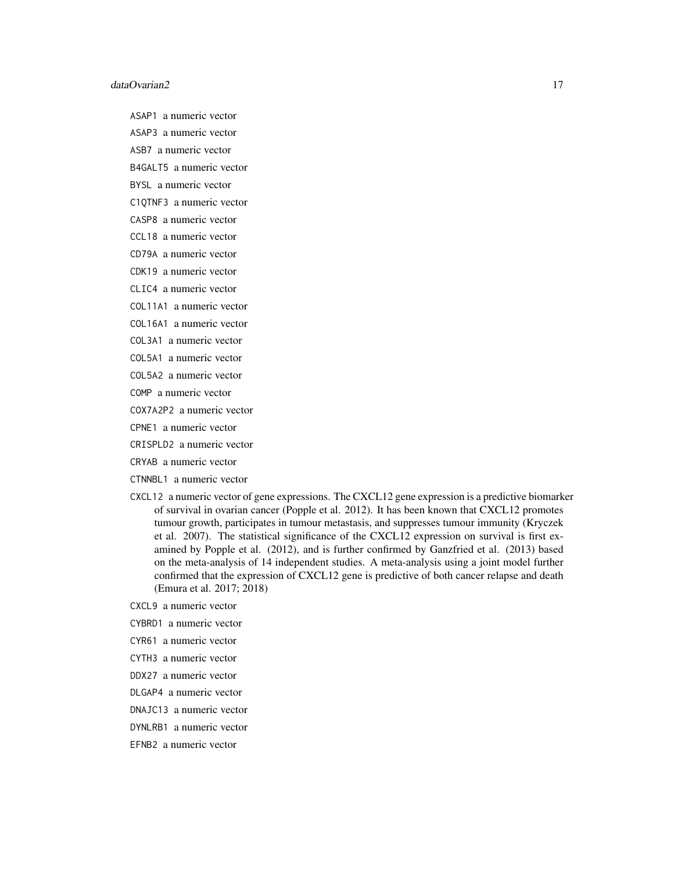#### dataOvarian2 17

ASAP1 a numeric vector

ASAP3 a numeric vector

ASB7 a numeric vector

B4GALT5 a numeric vector

BYSL a numeric vector

C1QTNF3 a numeric vector

CASP8 a numeric vector

CCL18 a numeric vector

CD79A a numeric vector

CDK19 a numeric vector

CLIC4 a numeric vector

COL11A1 a numeric vector

COL16A1 a numeric vector

COL3A1 a numeric vector

COL5A1 a numeric vector

COL5A2 a numeric vector

COMP a numeric vector

COX7A2P2 a numeric vector

CPNE1 a numeric vector

CRISPLD2 a numeric vector

CRYAB a numeric vector

CTNNBL1 a numeric vector

CXCL12 a numeric vector of gene expressions. The CXCL12 gene expression is a predictive biomarker of survival in ovarian cancer (Popple et al. 2012). It has been known that CXCL12 promotes tumour growth, participates in tumour metastasis, and suppresses tumour immunity (Kryczek et al. 2007). The statistical significance of the CXCL12 expression on survival is first examined by Popple et al. (2012), and is further confirmed by Ganzfried et al. (2013) based on the meta-analysis of 14 independent studies. A meta-analysis using a joint model further confirmed that the expression of CXCL12 gene is predictive of both cancer relapse and death (Emura et al. 2017; 2018)

CXCL9 a numeric vector

CYBRD1 a numeric vector

CYR61 a numeric vector

CYTH3 a numeric vector

DDX27 a numeric vector

DLGAP4 a numeric vector

DNAJC13 a numeric vector

DYNLRB1 a numeric vector

EFNB2 a numeric vector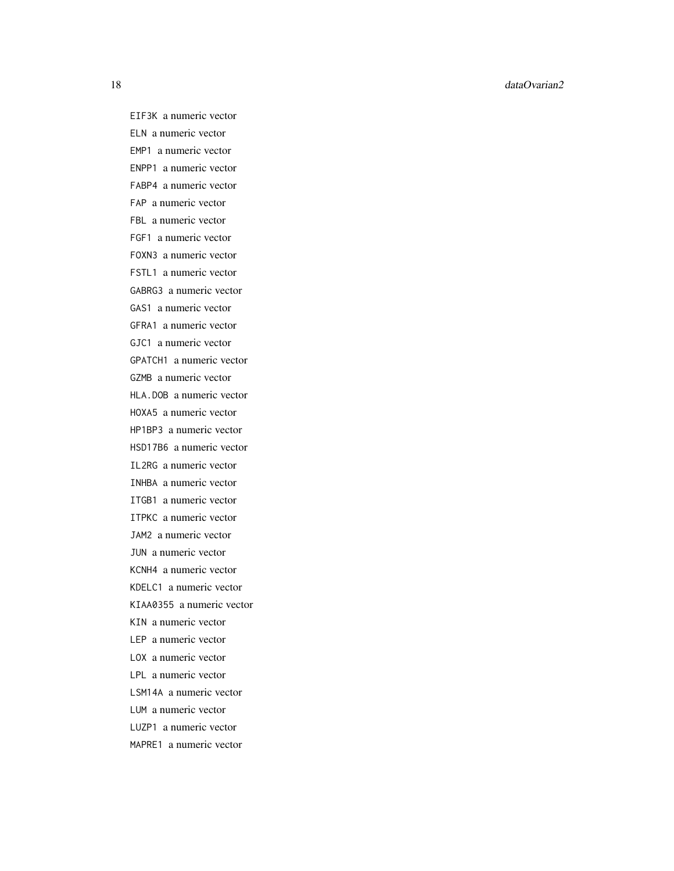18 dataOvarian2

EIF3K a numeric vector ELN a numeric vector EMP1 a numeric vector ENPP1 a numeric vector FABP4 a numeric vector FAP a numeric vector FBL a numeric vector FGF1 a numeric vector FOXN3 a numeric vector FSTL1 a numeric vector GABRG3 a numeric vector GAS1 a numeric vector GFRA1 a numeric vector GJC1 a numeric vector GPATCH1 a numeric vector GZMB a numeric vector HLA.DOB a numeric vector HOXA5 a numeric vector HP1BP3 a numeric vector HSD17B6 a numeric vector IL2RG a numeric vector INHBA a numeric vector ITGB1 a numeric vector ITPKC a numeric vector JAM2 a numeric vector JUN a numeric vector KCNH4 a numeric vector KDELC1 a numeric vector KIAA0355 a numeric vector KIN a numeric vector LEP a numeric vector LOX a numeric vector LPL a numeric vector LSM14A a numeric vector LUM a numeric vector LUZP1 a numeric vector MAPRE1 a numeric vector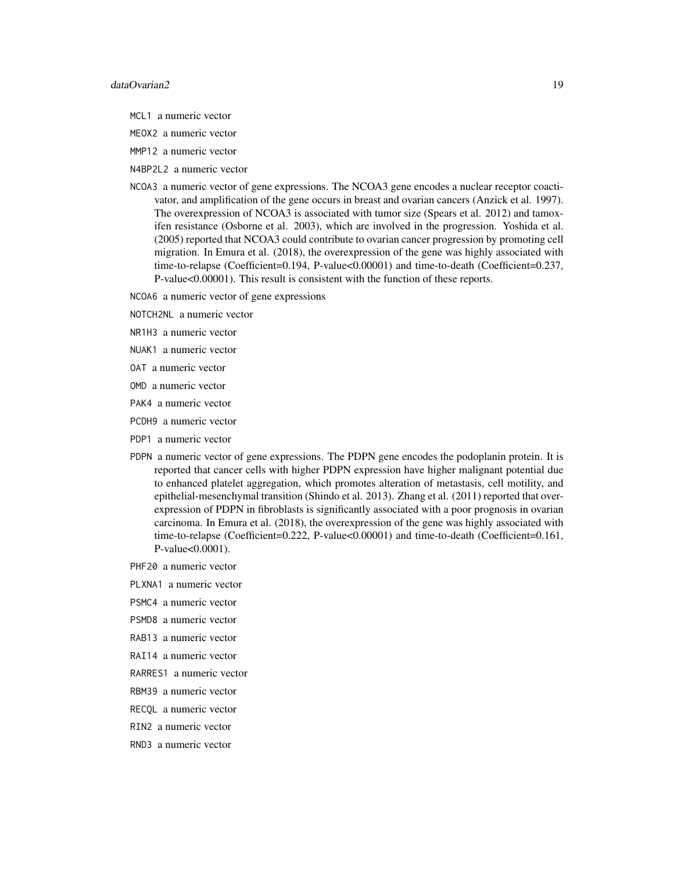#### dataOvarian2 19

- MCL1 a numeric vector
- MEOX2 a numeric vector
- MMP12 a numeric vector
- N4BP2L2 a numeric vector
- NCOA3 a numeric vector of gene expressions. The NCOA3 gene encodes a nuclear receptor coactivator, and amplification of the gene occurs in breast and ovarian cancers (Anzick et al. 1997). The overexpression of NCOA3 is associated with tumor size (Spears et al. 2012) and tamoxifen resistance (Osborne et al. 2003), which are involved in the progression. Yoshida et al. (2005) reported that NCOA3 could contribute to ovarian cancer progression by promoting cell migration. In Emura et al. (2018), the overexpression of the gene was highly associated with time-to-relapse (Coefficient=0.194, P-value<0.00001) and time-to-death (Coefficient=0.237, P-value<0.00001). This result is consistent with the function of these reports.
- NCOA6 a numeric vector of gene expressions
- NOTCH2NL a numeric vector
- NR1H3 a numeric vector
- NUAK1 a numeric vector
- OAT a numeric vector
- OMD a numeric vector
- PAK4 a numeric vector
- PCDH9 a numeric vector
- PDP1 a numeric vector
- PDPN a numeric vector of gene expressions. The PDPN gene encodes the podoplanin protein. It is reported that cancer cells with higher PDPN expression have higher malignant potential due to enhanced platelet aggregation, which promotes alteration of metastasis, cell motility, and epithelial-mesenchymal transition (Shindo et al. 2013). Zhang et al. (2011) reported that overexpression of PDPN in fibroblasts is significantly associated with a poor prognosis in ovarian carcinoma. In Emura et al. (2018), the overexpression of the gene was highly associated with time-to-relapse (Coefficient=0.222, P-value<0.00001) and time-to-death (Coefficient=0.161, P-value<0.0001).
- PHF20 a numeric vector
- PLXNA1 a numeric vector
- PSMC4 a numeric vector
- PSMD8 a numeric vector
- RAB13 a numeric vector
- RAI14 a numeric vector
- RARRES1 a numeric vector
- RBM39 a numeric vector
- RECQL a numeric vector
- RIN2 a numeric vector
- RND3 a numeric vector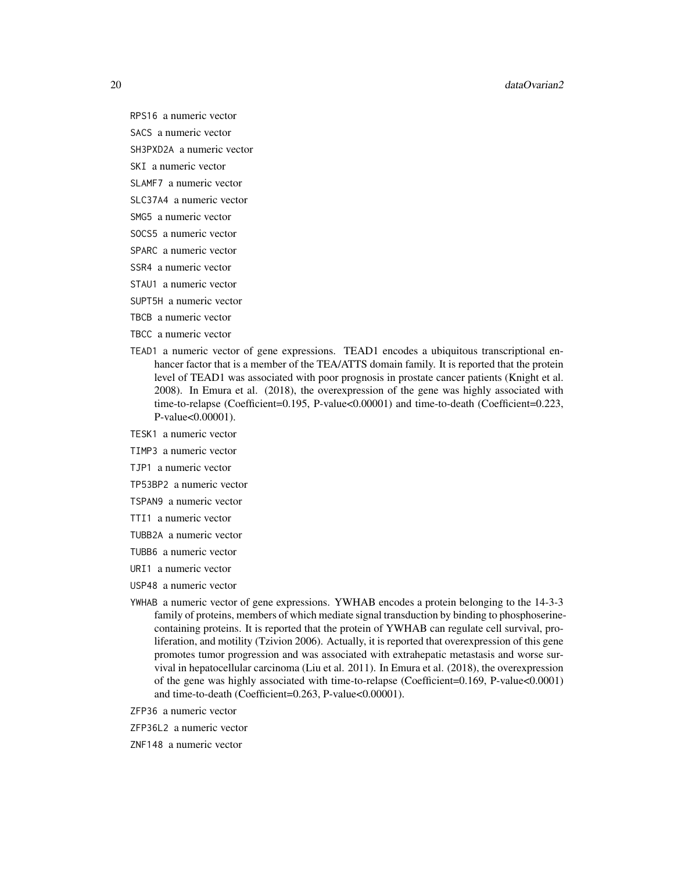20 dataOvarian2

RPS16 a numeric vector

SACS a numeric vector

SH3PXD2A a numeric vector

SKI a numeric vector

SLAMF7 a numeric vector

SLC37A4 a numeric vector

SMG5 a numeric vector

SOCS5 a numeric vector

SPARC a numeric vector

SSR4 a numeric vector

STAU1 a numeric vector

SUPT5H a numeric vector

TBCB a numeric vector

- TBCC a numeric vector
- TEAD1 a numeric vector of gene expressions. TEAD1 encodes a ubiquitous transcriptional enhancer factor that is a member of the TEA/ATTS domain family. It is reported that the protein level of TEAD1 was associated with poor prognosis in prostate cancer patients (Knight et al. 2008). In Emura et al. (2018), the overexpression of the gene was highly associated with time-to-relapse (Coefficient=0.195, P-value<0.00001) and time-to-death (Coefficient=0.223, P-value<0.00001).

TESK1 a numeric vector

TIMP3 a numeric vector

TJP1 a numeric vector

TP53BP2 a numeric vector

TSPAN9 a numeric vector

TTI1 a numeric vector

TUBB2A a numeric vector

- TUBB6 a numeric vector
- URI1 a numeric vector
- USP48 a numeric vector
- YWHAB a numeric vector of gene expressions. YWHAB encodes a protein belonging to the 14-3-3 family of proteins, members of which mediate signal transduction by binding to phosphoserinecontaining proteins. It is reported that the protein of YWHAB can regulate cell survival, proliferation, and motility (Tzivion 2006). Actually, it is reported that overexpression of this gene promotes tumor progression and was associated with extrahepatic metastasis and worse survival in hepatocellular carcinoma (Liu et al. 2011). In Emura et al. (2018), the overexpression of the gene was highly associated with time-to-relapse (Coefficient=0.169, P-value<0.0001) and time-to-death (Coefficient=0.263, P-value<0.00001).

ZFP36 a numeric vector

ZFP36L2 a numeric vector

ZNF148 a numeric vector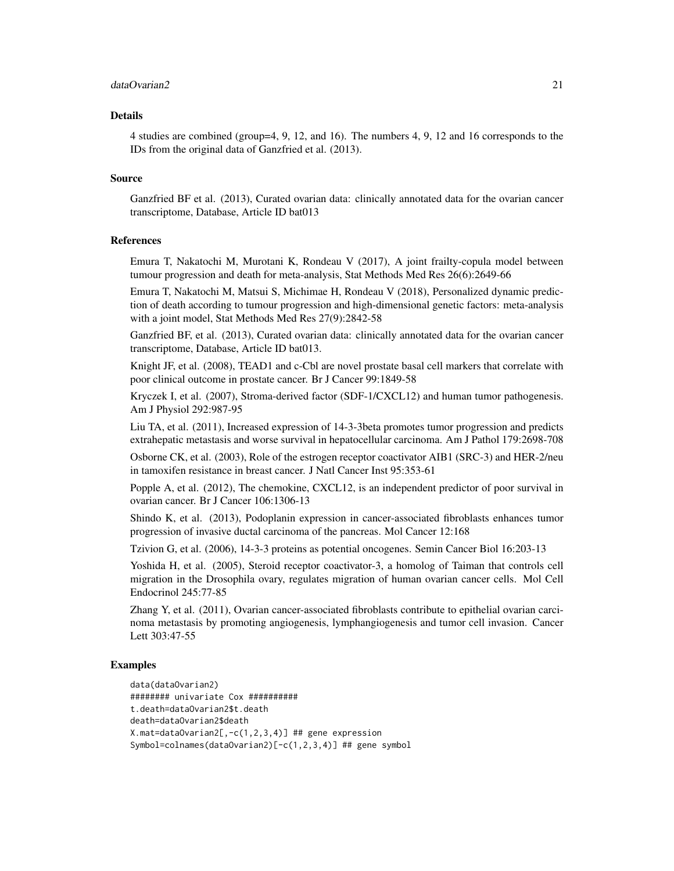#### dataOvarian2 21

#### Details

4 studies are combined (group=4, 9, 12, and 16). The numbers 4, 9, 12 and 16 corresponds to the IDs from the original data of Ganzfried et al. (2013).

#### Source

Ganzfried BF et al. (2013), Curated ovarian data: clinically annotated data for the ovarian cancer transcriptome, Database, Article ID bat013

#### References

Emura T, Nakatochi M, Murotani K, Rondeau V (2017), A joint frailty-copula model between tumour progression and death for meta-analysis, Stat Methods Med Res 26(6):2649-66

Emura T, Nakatochi M, Matsui S, Michimae H, Rondeau V (2018), Personalized dynamic prediction of death according to tumour progression and high-dimensional genetic factors: meta-analysis with a joint model, Stat Methods Med Res 27(9):2842-58

Ganzfried BF, et al. (2013), Curated ovarian data: clinically annotated data for the ovarian cancer transcriptome, Database, Article ID bat013.

Knight JF, et al. (2008), TEAD1 and c-Cbl are novel prostate basal cell markers that correlate with poor clinical outcome in prostate cancer. Br J Cancer 99:1849-58

Kryczek I, et al. (2007), Stroma-derived factor (SDF-1/CXCL12) and human tumor pathogenesis. Am J Physiol 292:987-95

Liu TA, et al. (2011), Increased expression of 14-3-3beta promotes tumor progression and predicts extrahepatic metastasis and worse survival in hepatocellular carcinoma. Am J Pathol 179:2698-708

Osborne CK, et al. (2003), Role of the estrogen receptor coactivator AIB1 (SRC-3) and HER-2/neu in tamoxifen resistance in breast cancer. J Natl Cancer Inst 95:353-61

Popple A, et al. (2012), The chemokine, CXCL12, is an independent predictor of poor survival in ovarian cancer. Br J Cancer 106:1306-13

Shindo K, et al. (2013), Podoplanin expression in cancer-associated fibroblasts enhances tumor progression of invasive ductal carcinoma of the pancreas. Mol Cancer 12:168

Tzivion G, et al. (2006), 14-3-3 proteins as potential oncogenes. Semin Cancer Biol 16:203-13

Yoshida H, et al. (2005), Steroid receptor coactivator-3, a homolog of Taiman that controls cell migration in the Drosophila ovary, regulates migration of human ovarian cancer cells. Mol Cell Endocrinol 245:77-85

Zhang Y, et al. (2011), Ovarian cancer-associated fibroblasts contribute to epithelial ovarian carcinoma metastasis by promoting angiogenesis, lymphangiogenesis and tumor cell invasion. Cancer Lett 303:47-55

#### Examples

```
data(dataOvarian2)
######## univariate Cox ##########
t.death=dataOvarian2$t.death
death=dataOvarian2$death
X.mat=dataOvarian2[,-c(1,2,3,4)] ## gene expression
Symbol=colnames(dataOvarian2)[-c(1,2,3,4)] ## gene symbol
```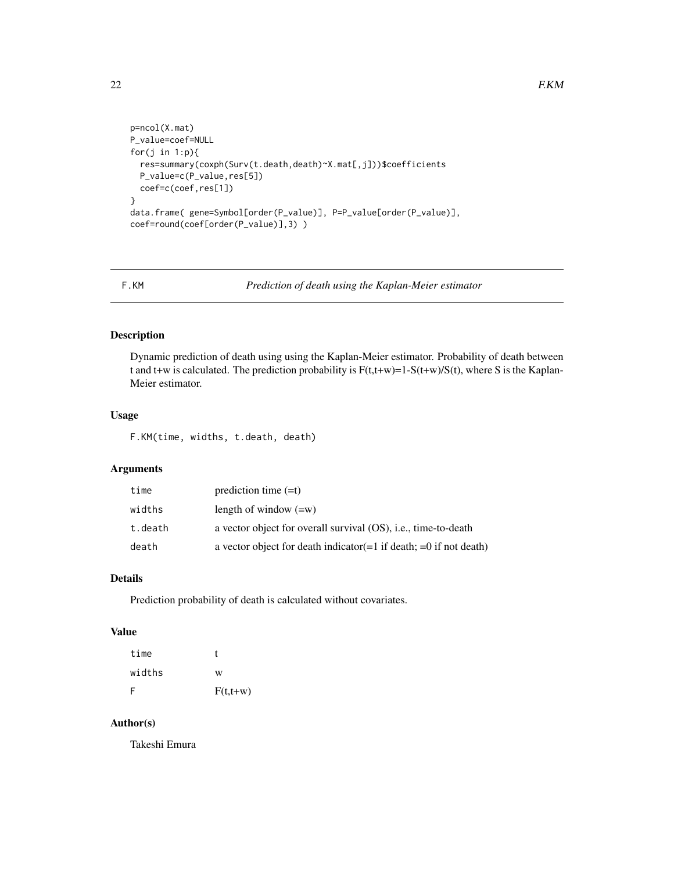```
p=ncol(X.mat)
P_value=coef=NULL
for(j in 1:p){
  res=summary(coxph(Surv(t.death,death)~X.mat[,j]))$coefficients
  P_value=c(P_value,res[5])
  coef=c(coef,res[1])
}
data.frame( gene=Symbol[order(P_value)], P=P_value[order(P_value)],
coef=round(coef[order(P_value)],3) )
```
F.KM *Prediction of death using the Kaplan-Meier estimator*

#### Description

Dynamic prediction of death using using the Kaplan-Meier estimator. Probability of death between t and t+w is calculated. The prediction probability is  $F(t,t+w)=1-S(t+w)/S(t)$ , where S is the Kaplan-Meier estimator.

#### Usage

F.KM(time, widths, t.death, death)

#### Arguments

| time    | prediction time $(=t)$                                                 |
|---------|------------------------------------------------------------------------|
| widths  | length of window $(=w)$                                                |
| t.death | a vector object for overall survival (OS), i.e., time-to-death         |
| death   | a vector object for death indicator $(=1$ if death; $=0$ if not death) |

#### Details

Prediction probability of death is calculated without covariates.

#### Value

| time   |            |
|--------|------------|
| widths | W          |
| F      | $F(t,t+w)$ |

#### Author(s)

Takeshi Emura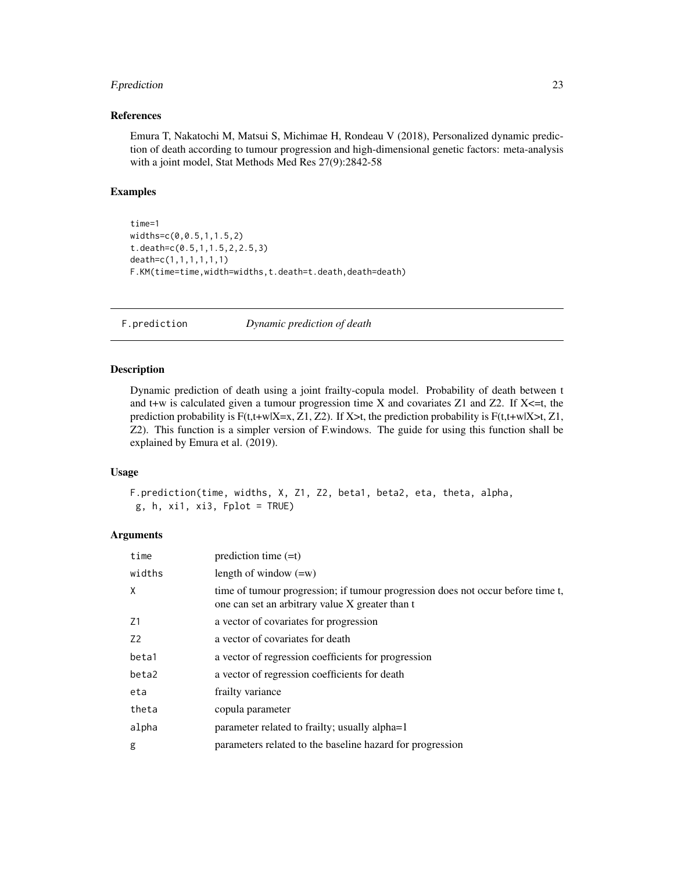#### <span id="page-22-0"></span>F. prediction 23

#### References

Emura T, Nakatochi M, Matsui S, Michimae H, Rondeau V (2018), Personalized dynamic prediction of death according to tumour progression and high-dimensional genetic factors: meta-analysis with a joint model, Stat Methods Med Res 27(9):2842-58

#### Examples

```
time=1
widths=c(0,0.5,1,1.5,2)
t.death=c(0.5,1,1.5,2,2.5,3)
death=c(1,1,1,1,1,1)
F.KM(time=time,width=widths,t.death=t.death,death=death)
```
F.prediction *Dynamic prediction of death*

#### Description

Dynamic prediction of death using a joint frailty-copula model. Probability of death between t and t+w is calculated given a tumour progression time X and covariates Z1 and Z2. If  $X \leq t$ , the prediction probability is F(t,t+w|X=x, Z1, Z2). If X>t, the prediction probability is F(t,t+w|X>t, Z1, Z2). This function is a simpler version of F.windows. The guide for using this function shall be explained by Emura et al. (2019).

#### Usage

```
F.prediction(time, widths, X, Z1, Z2, beta1, beta2, eta, theta, alpha,
g, h, xi1, xi3, Fplot = TRUE)
```
#### Arguments

| time           | prediction time $(=t)$                                                                                                             |
|----------------|------------------------------------------------------------------------------------------------------------------------------------|
| widths         | length of window $(=w)$                                                                                                            |
| X              | time of tumour progression; if tumour progression does not occur before time t,<br>one can set an arbitrary value X greater than t |
| Z1             | a vector of covariates for progression                                                                                             |
| Z <sub>2</sub> | a vector of covariates for death                                                                                                   |
| beta1          | a vector of regression coefficients for progression                                                                                |
| beta2          | a vector of regression coefficients for death                                                                                      |
| eta            | frailty variance                                                                                                                   |
| theta          | copula parameter                                                                                                                   |
| alpha          | parameter related to frailty; usually alpha=1                                                                                      |
| g              | parameters related to the baseline hazard for progression                                                                          |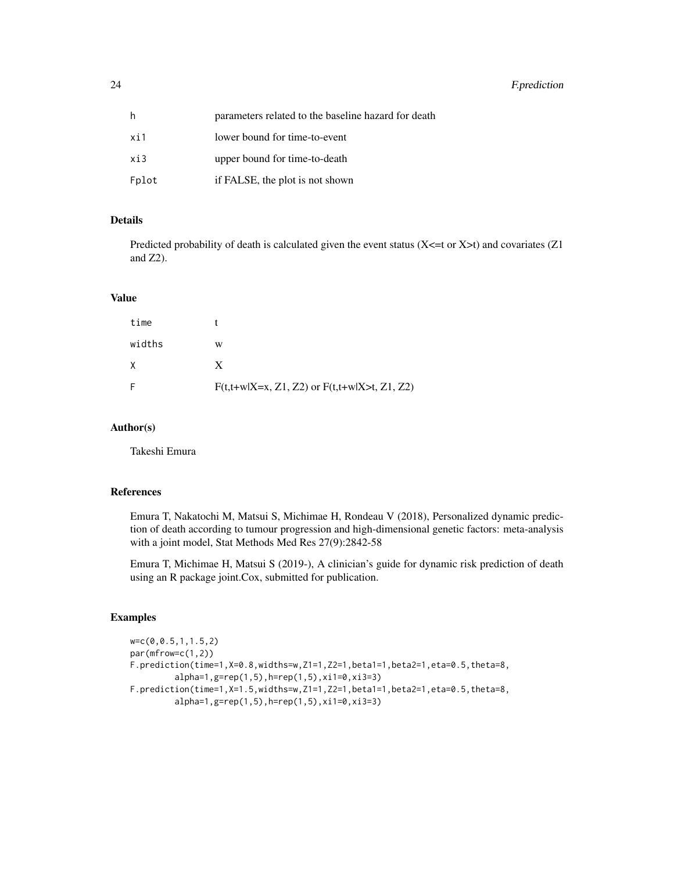| h     | parameters related to the baseline hazard for death |
|-------|-----------------------------------------------------|
| xi1   | lower bound for time-to-event                       |
| xi3   | upper bound for time-to-death                       |
| Fplot | if FALSE, the plot is not shown                     |

#### Details

Predicted probability of death is calculated given the event status  $(X \le t$  or  $X \ge t)$  and covariates  $(Z1$ and  $Z2$ ).

#### Value

| time   |                                                  |
|--------|--------------------------------------------------|
| widths | w                                                |
|        | X                                                |
|        | $F(t,t+w X=x, Z1, Z2)$ or $F(t,t+w X>t, Z1, Z2)$ |

#### Author(s)

Takeshi Emura

#### References

Emura T, Nakatochi M, Matsui S, Michimae H, Rondeau V (2018), Personalized dynamic prediction of death according to tumour progression and high-dimensional genetic factors: meta-analysis with a joint model, Stat Methods Med Res 27(9):2842-58

Emura T, Michimae H, Matsui S (2019-), A clinician's guide for dynamic risk prediction of death using an R package joint.Cox, submitted for publication.

#### Examples

```
w=c(0,0.5,1,1.5,2)
par(mfrow=c(1,2))
F.prediction(time=1,X=0.8,widths=w,Z1=1,Z2=1,beta1=1,beta2=1,eta=0.5,theta=8,
         alpha=1,g=rep(1,5),h=rep(1,5),xi1=0,xi3=3)
F.prediction(time=1,X=1.5,widths=w,Z1=1,Z2=1,beta1=1,beta2=1,eta=0.5,theta=8,
         alpha=1,g=rep(1,5),h=rep(1,5),xi1=0,xi3=3)
```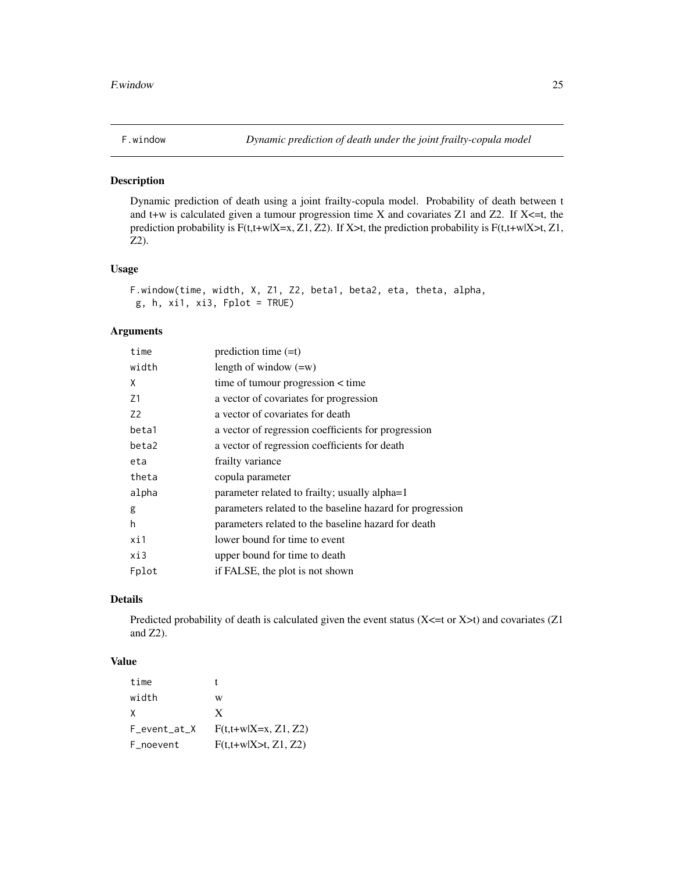<span id="page-24-0"></span>

### Description

Dynamic prediction of death using a joint frailty-copula model. Probability of death between t and t+w is calculated given a tumour progression time X and covariates Z1 and Z2. If  $X \leq t$ , the prediction probability is F(t,t+w|X=x, Z1, Z2). If X>t, the prediction probability is F(t,t+w|X>t, Z1, Z2).

#### Usage

```
F.window(time, width, X, Z1, Z2, beta1, beta2, eta, theta, alpha,
g, h, xi1, xi3, Fplot = TRUE)
```
#### Arguments

| time           | prediction time $(=t)$                                    |
|----------------|-----------------------------------------------------------|
| width          | length of window $(=w)$                                   |
| X              | time of tumour progression < time                         |
| Z1             | a vector of covariates for progression                    |
| Z <sub>2</sub> | a vector of covariates for death                          |
| beta1          | a vector of regression coefficients for progression       |
| beta2          | a vector of regression coefficients for death             |
| eta            | frailty variance                                          |
| theta          | copula parameter                                          |
| alpha          | parameter related to frailty; usually alpha=1             |
| g              | parameters related to the baseline hazard for progression |
| h              | parameters related to the baseline hazard for death       |
| xi1            | lower bound for time to event                             |
| xi3            | upper bound for time to death                             |
| Fplot          | if FALSE, the plot is not shown                           |
|                |                                                           |

#### Details

Predicted probability of death is calculated given the event status  $(X<=t$  or  $X>t$ ) and covariates (Z1 and Z2).

#### Value

| time         |                        |
|--------------|------------------------|
| width        | w                      |
| X            | X                      |
| F_event_at_X | $F(t,t+w X=x, Z1, Z2)$ |
| F_noevent    | $F(t,t+w X>t, Z1, Z2)$ |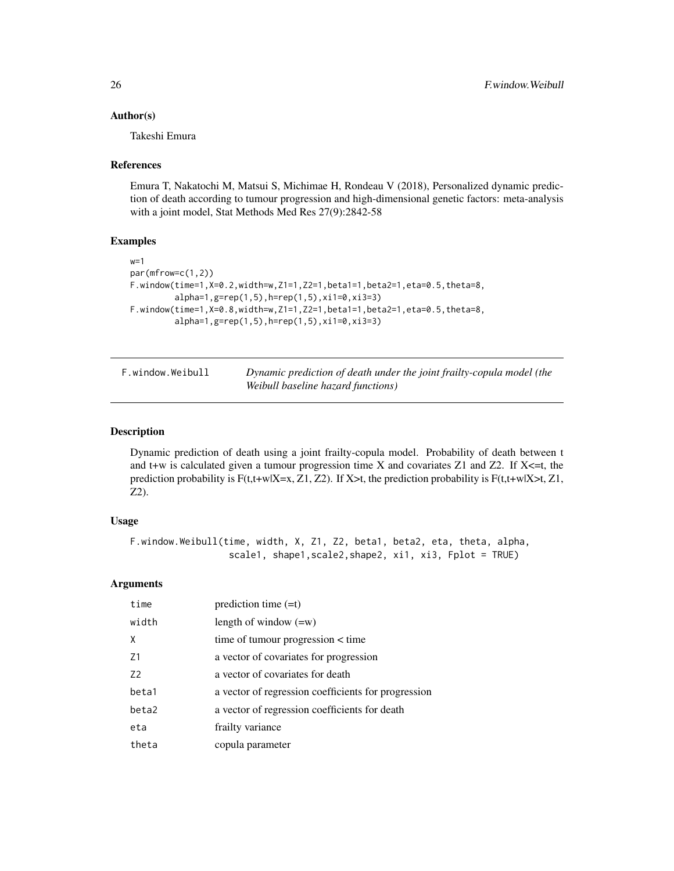#### <span id="page-25-0"></span>Author(s)

Takeshi Emura

#### References

Emura T, Nakatochi M, Matsui S, Michimae H, Rondeau V (2018), Personalized dynamic prediction of death according to tumour progression and high-dimensional genetic factors: meta-analysis with a joint model, Stat Methods Med Res 27(9):2842-58

#### Examples

```
w=1par(mfrow=c(1,2))
F.window(time=1,X=0.2,width=w,Z1=1,Z2=1,beta1=1,beta2=1,eta=0.5,theta=8,
         alpha=1,g=rep(1,5),h=rep(1,5),xi1=0,xi3=3)
F.window(time=1,X=0.8,width=w,Z1=1,Z2=1,beta1=1,beta2=1,eta=0.5,theta=8,
         alpha=1,g=rep(1,5),h=rep(1,5),xi1=0,xi3=3)
```

| F.window.Weibull | Dynamic prediction of death under the joint frailty-copula model (the |
|------------------|-----------------------------------------------------------------------|
|                  | Weibull baseline hazard functions)                                    |

#### Description

Dynamic prediction of death using a joint frailty-copula model. Probability of death between t and t+w is calculated given a tumour progression time X and covariates Z1 and Z2. If X<=t, the prediction probability is  $F(t,t+w|X=x, Z1, Z2)$ . If X>t, the prediction probability is  $F(t,t+w|X=t, Z1, Z2)$ Z2).

#### Usage

```
F.window.Weibull(time, width, X, Z1, Z2, beta1, beta2, eta, theta, alpha,
                  scale1, shape1,scale2,shape2, xi1, xi3, Fplot = TRUE)
```
#### Arguments

| time  | prediction time $(=t)$                              |
|-------|-----------------------------------------------------|
| width | length of window $(=w)$                             |
| X     | time of tumour progression < time                   |
| 71    | a vector of covariates for progression              |
| 72    | a vector of covariates for death                    |
| beta1 | a vector of regression coefficients for progression |
| beta2 | a vector of regression coefficients for death       |
| eta   | frailty variance                                    |
| theta | copula parameter                                    |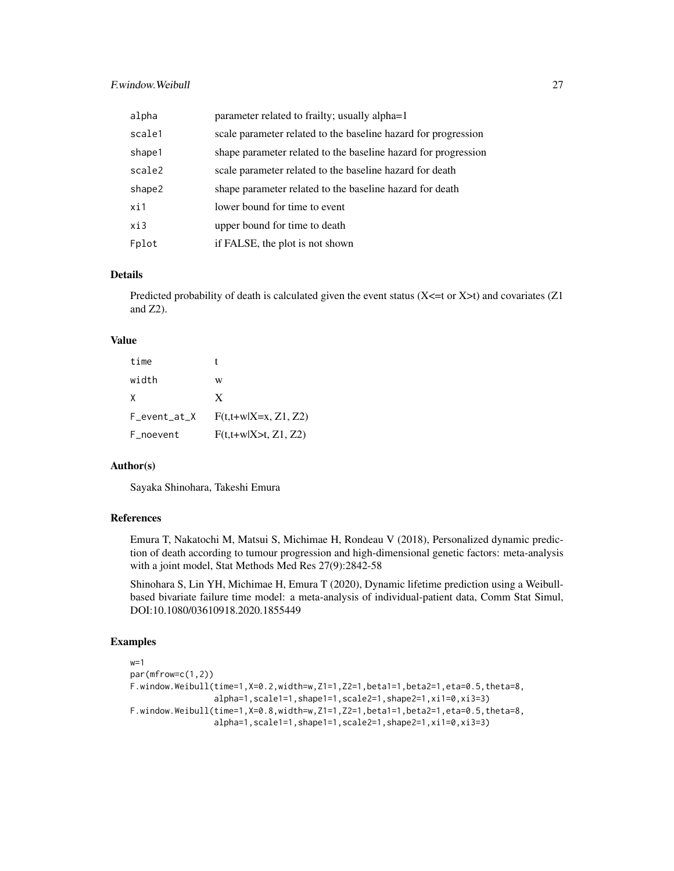#### F.window.Weibull 27

| alpha  | parameter related to frailty; usually alpha=1                  |
|--------|----------------------------------------------------------------|
| scale1 | scale parameter related to the baseline hazard for progression |
| shape1 | shape parameter related to the baseline hazard for progression |
| scale2 | scale parameter related to the baseline hazard for death       |
| shape2 | shape parameter related to the baseline hazard for death       |
| xi1    | lower bound for time to event                                  |
| xi3    | upper bound for time to death                                  |
| Fplot  | if FALSE, the plot is not shown                                |

#### Details

Predicted probability of death is calculated given the event status  $(X \le t$  or  $X \ge t)$  and covariates  $(Z1$ and Z2).

#### Value

| time         |                        |
|--------------|------------------------|
| width        | w                      |
| X            | X                      |
| F_event_at_X | $F(t,t+w X=x, Z1, Z2)$ |
| F_noevent    | $F(t,t+w X>t, Z1, Z2)$ |

#### Author(s)

Sayaka Shinohara, Takeshi Emura

#### References

Emura T, Nakatochi M, Matsui S, Michimae H, Rondeau V (2018), Personalized dynamic prediction of death according to tumour progression and high-dimensional genetic factors: meta-analysis with a joint model, Stat Methods Med Res 27(9):2842-58

Shinohara S, Lin YH, Michimae H, Emura T (2020), Dynamic lifetime prediction using a Weibullbased bivariate failure time model: a meta-analysis of individual-patient data, Comm Stat Simul, DOI:10.1080/03610918.2020.1855449

#### Examples

```
w=1par(mfrow=c(1,2))
F.window.Weibull(time=1,X=0.2,width=w,Z1=1,Z2=1,beta1=1,beta2=1,eta=0.5,theta=8,
                alpha=1,scale1=1,shape1=1,scale2=1,shape2=1,xi1=0,xi3=3)
F.window.Weibull(time=1,X=0.8,width=w,Z1=1,Z2=1,beta1=1,beta2=1,eta=0.5,theta=8,
                alpha=1,scale1=1,shape1=1,scale2=1,shape2=1,xi1=0,xi3=3)
```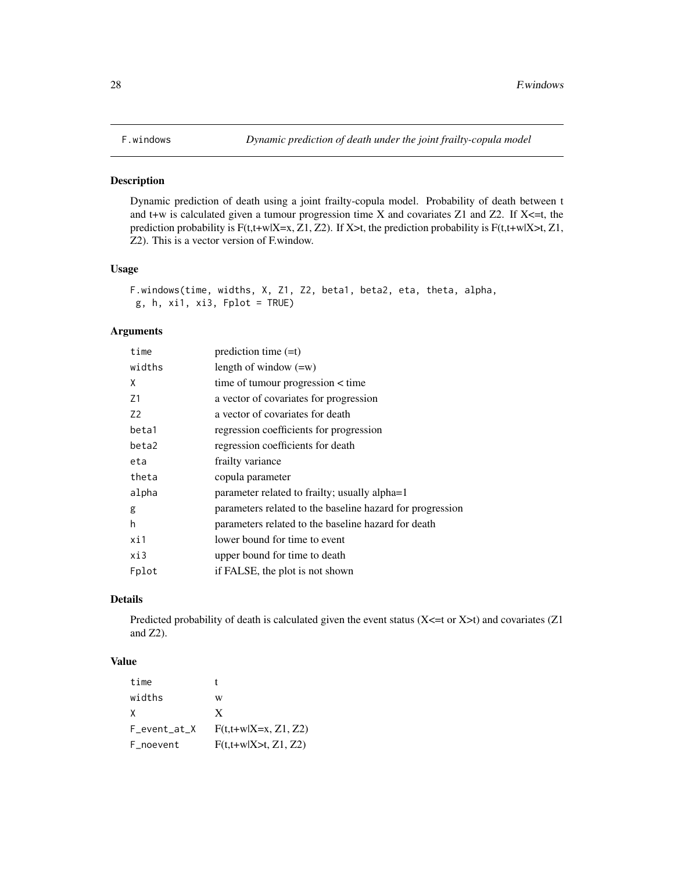#### <span id="page-27-0"></span>Description

Dynamic prediction of death using a joint frailty-copula model. Probability of death between t and t+w is calculated given a tumour progression time X and covariates Z1 and Z2. If  $X \leq t$ , the prediction probability is F(t,t+w|X=x, Z1, Z2). If X>t, the prediction probability is F(t,t+w|X>t, Z1, Z2). This is a vector version of F.window.

#### Usage

```
F.windows(time, widths, X, Z1, Z2, beta1, beta2, eta, theta, alpha,
g, h, xi1, xi3, Fplot = TRUE)
```
#### Arguments

| time           | prediction time $(=t)$                                    |
|----------------|-----------------------------------------------------------|
| widths         | length of window $(=w)$                                   |
| X              | time of tumour progression < time                         |
| Z1             | a vector of covariates for progression                    |
| Z <sub>2</sub> | a vector of covariates for death                          |
| beta1          | regression coefficients for progression                   |
| beta2          | regression coefficients for death                         |
| eta            | frailty variance                                          |
| theta          | copula parameter                                          |
| alpha          | parameter related to frailty; usually alpha=1             |
| g              | parameters related to the baseline hazard for progression |
| h              | parameters related to the baseline hazard for death       |
| xi1            | lower bound for time to event                             |
| xi3            | upper bound for time to death                             |
| Fplot          | if FALSE, the plot is not shown                           |
|                |                                                           |

#### Details

Predicted probability of death is calculated given the event status  $(X<=t$  or  $X>t$ ) and covariates (Z1 and Z2).

#### Value

| time         |                        |
|--------------|------------------------|
| widths       | w                      |
| x            | X                      |
| F_event_at_X | $F(t,t+w X=x, Z1, Z2)$ |
| F_noevent    | $F(t,t+w X>t, Z1, Z2)$ |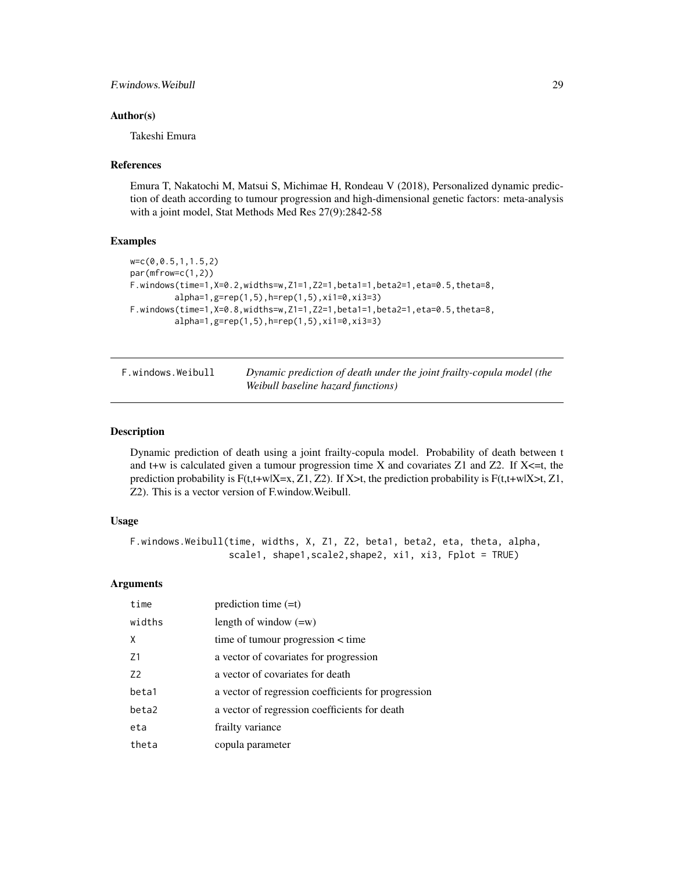#### <span id="page-28-0"></span>F.windows.Weibull 29

#### Author(s)

Takeshi Emura

#### References

Emura T, Nakatochi M, Matsui S, Michimae H, Rondeau V (2018), Personalized dynamic prediction of death according to tumour progression and high-dimensional genetic factors: meta-analysis with a joint model, Stat Methods Med Res 27(9):2842-58

#### Examples

```
w=c(0,0.5,1,1.5,2)
par(mfrow=c(1,2))
F.windows(time=1,X=0.2,widths=w,Z1=1,Z2=1,beta1=1,beta2=1,eta=0.5,theta=8,
         alpha=1,g=rep(1,5),h=rep(1,5),xi1=0,xi3=3)
F.windows(time=1,X=0.8,widths=w,Z1=1,Z2=1,beta1=1,beta2=1,eta=0.5,theta=8,
         alpha=1,g=rep(1,5),h=rep(1,5),xi1=0,xi3=3)
```

| F.windows.Weibull | Dynamic prediction of death under the joint frailty-copula model (the |
|-------------------|-----------------------------------------------------------------------|
|                   | Weibull baseline hazard functions)                                    |

#### Description

Dynamic prediction of death using a joint frailty-copula model. Probability of death between t and t+w is calculated given a tumour progression time X and covariates  $Z1$  and  $Z2$ . If  $X \leq t$ , the prediction probability is  $F(t,t+w|X=x, Z1, Z2)$ . If  $X>t$ , the prediction probability is  $F(t,t+w|X>t, Z1, Z2)$ Z2). This is a vector version of F.window.Weibull.

#### Usage

```
F.windows.Weibull(time, widths, X, Z1, Z2, beta1, beta2, eta, theta, alpha,
                  scale1, shape1,scale2,shape2, xi1, xi3, Fplot = TRUE)
```
#### Arguments

| time   | prediction time $(=t)$                              |
|--------|-----------------------------------------------------|
| widths | length of window $(=w)$                             |
| X      | time of tumour progression < time                   |
| 71     | a vector of covariates for progression              |
| 72     | a vector of covariates for death                    |
| beta1  | a vector of regression coefficients for progression |
| beta2  | a vector of regression coefficients for death       |
| eta    | frailty variance                                    |
| theta  | copula parameter                                    |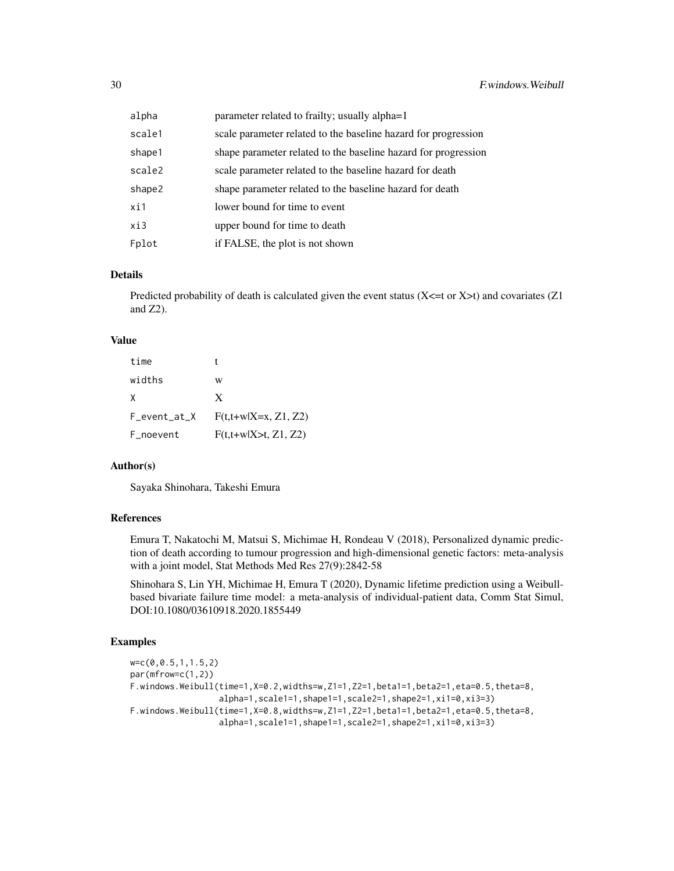| alpha  | parameter related to frailty; usually alpha=1                  |
|--------|----------------------------------------------------------------|
| scale1 | scale parameter related to the baseline hazard for progression |
| shape1 | shape parameter related to the baseline hazard for progression |
| scale2 | scale parameter related to the baseline hazard for death       |
| shape2 | shape parameter related to the baseline hazard for death       |
| xi1    | lower bound for time to event                                  |
| xi3    | upper bound for time to death                                  |
| Fplot  | if FALSE, the plot is not shown                                |

#### Details

Predicted probability of death is calculated given the event status  $(X \le t$  or  $X \ge t)$  and covariates  $(Z1$ and Z2).

#### Value

| time         |                        |
|--------------|------------------------|
| widths       | W                      |
| X            | X                      |
| F_event_at_X | $F(t,t+w X=x, Z1, Z2)$ |
| F_noevent    | $F(t,t+w X>t, Z1, Z2)$ |

#### Author(s)

Sayaka Shinohara, Takeshi Emura

#### References

Emura T, Nakatochi M, Matsui S, Michimae H, Rondeau V (2018), Personalized dynamic prediction of death according to tumour progression and high-dimensional genetic factors: meta-analysis with a joint model, Stat Methods Med Res 27(9):2842-58

Shinohara S, Lin YH, Michimae H, Emura T (2020), Dynamic lifetime prediction using a Weibullbased bivariate failure time model: a meta-analysis of individual-patient data, Comm Stat Simul, DOI:10.1080/03610918.2020.1855449

#### Examples

```
w=c(0,0.5,1,1.5,2)
par(mfrow=c(1,2))
F.windows.Weibull(time=1,X=0.2,widths=w,Z1=1,Z2=1,beta1=1,beta2=1,eta=0.5,theta=8,
                  alpha=1,scale1=1,shape1=1,scale2=1,shape2=1,xi1=0,xi3=3)
F.windows.Weibull(time=1,X=0.8,widths=w,Z1=1,Z2=1,beta1=1,beta2=1,eta=0.5,theta=8,
                  alpha=1,scale1=1,shape1=1,scale2=1,shape2=1,xi1=0,xi3=3)
```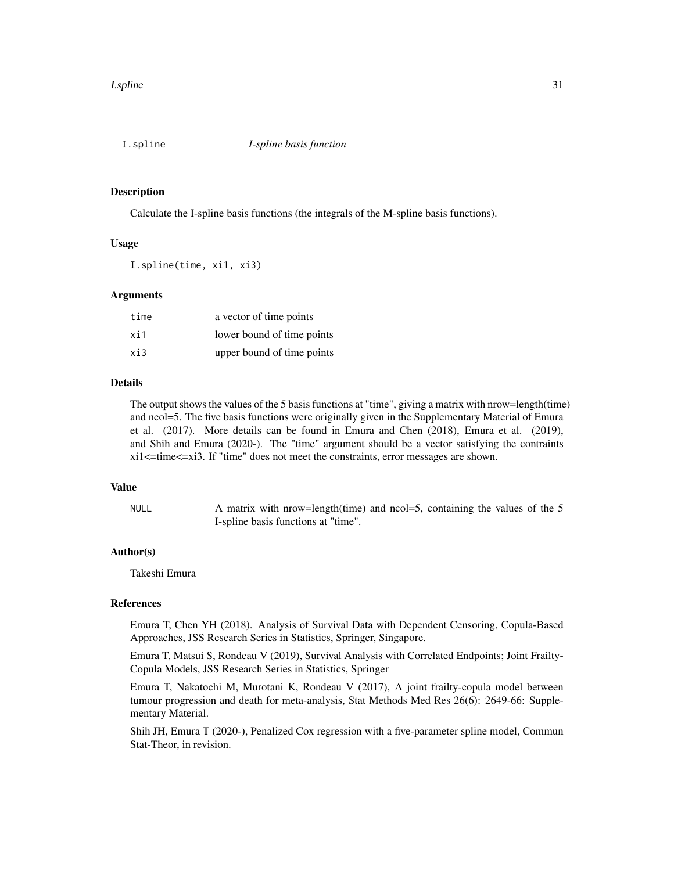<span id="page-30-0"></span>

#### Description

Calculate the I-spline basis functions (the integrals of the M-spline basis functions).

#### Usage

I.spline(time, xi1, xi3)

#### Arguments

| time | a vector of time points    |
|------|----------------------------|
| xi1  | lower bound of time points |
| xi3  | upper bound of time points |

#### Details

The output shows the values of the 5 basis functions at "time", giving a matrix with nrow=length(time) and ncol=5. The five basis functions were originally given in the Supplementary Material of Emura et al. (2017). More details can be found in Emura and Chen (2018), Emura et al. (2019), and Shih and Emura (2020-). The "time" argument should be a vector satisfying the contraints xi1<=time<=xi3. If "time" does not meet the constraints, error messages are shown.

#### Value

NULL A matrix with nrow=length(time) and ncol=5, containing the values of the 5 I-spline basis functions at "time".

#### Author(s)

Takeshi Emura

#### References

Emura T, Chen YH (2018). Analysis of Survival Data with Dependent Censoring, Copula-Based Approaches, JSS Research Series in Statistics, Springer, Singapore.

Emura T, Matsui S, Rondeau V (2019), Survival Analysis with Correlated Endpoints; Joint Frailty-Copula Models, JSS Research Series in Statistics, Springer

Emura T, Nakatochi M, Murotani K, Rondeau V (2017), A joint frailty-copula model between tumour progression and death for meta-analysis, Stat Methods Med Res 26(6): 2649-66: Supplementary Material.

Shih JH, Emura T (2020-), Penalized Cox regression with a five-parameter spline model, Commun Stat-Theor, in revision.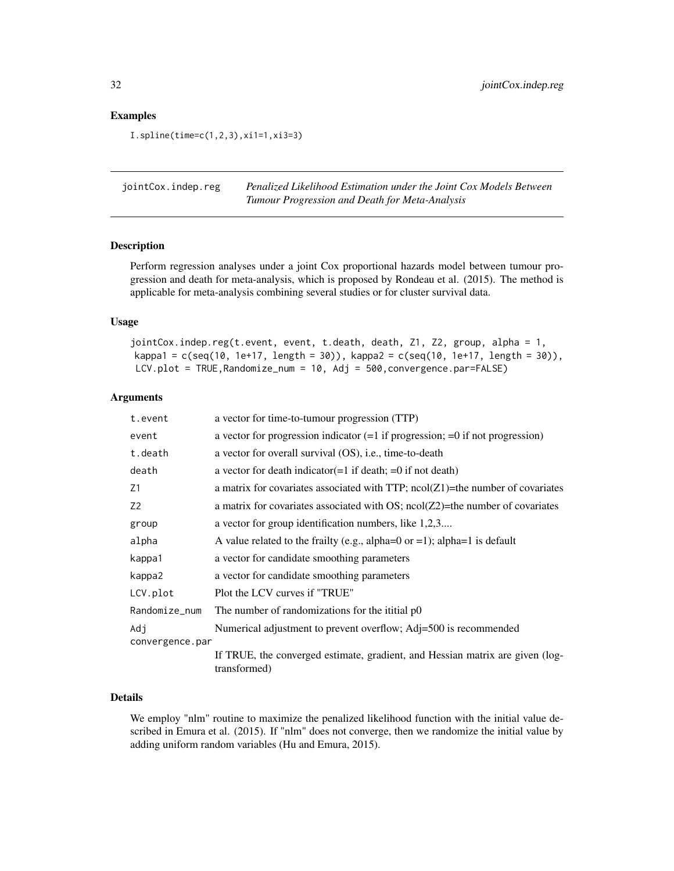#### <span id="page-31-0"></span>Examples

I.spline(time=c(1,2,3),xi1=1,xi3=3)

jointCox.indep.reg *Penalized Likelihood Estimation under the Joint Cox Models Between Tumour Progression and Death for Meta-Analysis*

#### Description

Perform regression analyses under a joint Cox proportional hazards model between tumour progression and death for meta-analysis, which is proposed by Rondeau et al. (2015). The method is applicable for meta-analysis combining several studies or for cluster survival data.

#### Usage

jointCox.indep.reg(t.event, event, t.death, death, Z1, Z2, group, alpha = 1, kappa1 = c(seq(10, 1e+17, length = 30)), kappa2 = c(seq(10, 1e+17, length = 30)), LCV.plot = TRUE, Randomize\_num = 10, Adj = 500, convergence.par=FALSE)

#### Arguments

| t.event         | a vector for time-to-tumour progression (TTP)                                                 |  |
|-----------------|-----------------------------------------------------------------------------------------------|--|
| event           | a vector for progression indicator $(=1$ if progression; $=0$ if not progression)             |  |
| t.death         | a vector for overall survival (OS), i.e., time-to-death                                       |  |
| death           | a vector for death indicator $(=1$ if death; $=0$ if not death)                               |  |
| Z1              | a matrix for covariates associated with TTP; $ncol(Z1)$ =the number of covariates             |  |
| Z <sub>2</sub>  | a matrix for covariates associated with OS; $ncol(Z2)$ =the number of covariates              |  |
| group           | a vector for group identification numbers, like 1,2,3                                         |  |
| alpha           | A value related to the frailty (e.g., alpha=0 or =1); alpha=1 is default                      |  |
| kappa1          | a vector for candidate smoothing parameters                                                   |  |
| kappa2          | a vector for candidate smoothing parameters                                                   |  |
| LCV.plot        | Plot the LCV curves if "TRUE"                                                                 |  |
| Randomize_num   | The number of randomizations for the ititial p0                                               |  |
| Adj             | Numerical adjustment to prevent overflow; Adj=500 is recommended                              |  |
| convergence.par |                                                                                               |  |
|                 | If TRUE, the converged estimate, gradient, and Hessian matrix are given (log-<br>transformed) |  |

#### Details

We employ "nlm" routine to maximize the penalized likelihood function with the initial value described in Emura et al. (2015). If "nlm" does not converge, then we randomize the initial value by adding uniform random variables (Hu and Emura, 2015).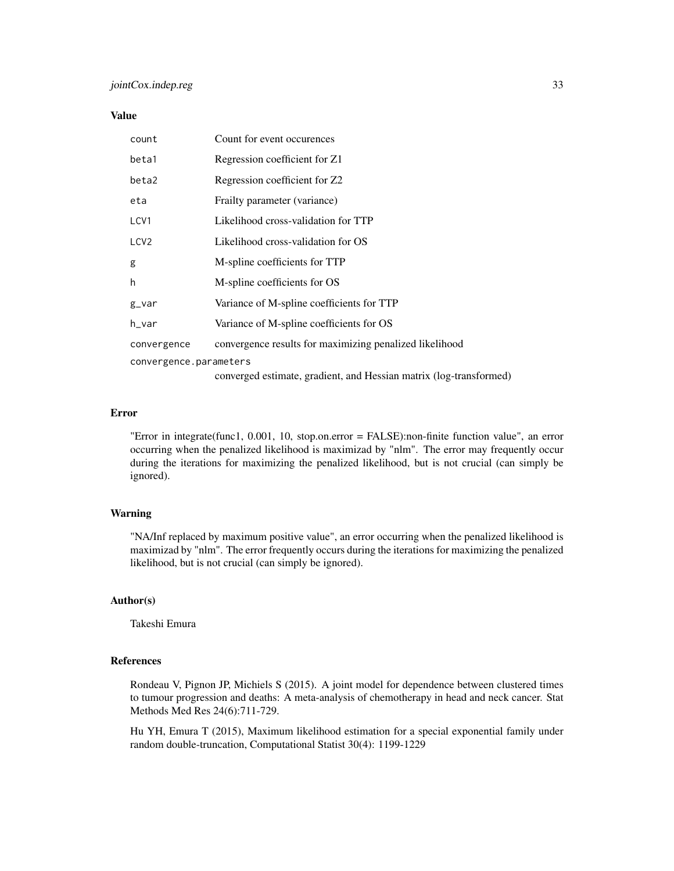#### Value

| count                  | Count for event occurences                                         |
|------------------------|--------------------------------------------------------------------|
| beta1                  | Regression coefficient for Z1                                      |
| beta2                  | Regression coefficient for Z2                                      |
| eta                    | Frailty parameter (variance)                                       |
| LCV1                   | Likelihood cross-validation for TTP                                |
| LCV <sub>2</sub>       | Likelihood cross-validation for OS                                 |
| g                      | M-spline coefficients for TTP                                      |
| h                      | M-spline coefficients for OS                                       |
| $g_{v}$ var            | Variance of M-spline coefficients for TTP                          |
| h_var                  | Variance of M-spline coefficients for OS                           |
| convergence            | convergence results for maximizing penalized likelihood            |
| convergence.parameters |                                                                    |
|                        | converged estimate, gradient, and Hessian matrix (log-transformed) |

#### Error

"Error in integrate(func1, 0.001, 10, stop.on.error = FALSE):non-finite function value", an error occurring when the penalized likelihood is maximizad by "nlm". The error may frequently occur during the iterations for maximizing the penalized likelihood, but is not crucial (can simply be ignored).

#### Warning

"NA/Inf replaced by maximum positive value", an error occurring when the penalized likelihood is maximizad by "nlm". The error frequently occurs during the iterations for maximizing the penalized likelihood, but is not crucial (can simply be ignored).

#### Author(s)

Takeshi Emura

#### References

Rondeau V, Pignon JP, Michiels S (2015). A joint model for dependence between clustered times to tumour progression and deaths: A meta-analysis of chemotherapy in head and neck cancer. Stat Methods Med Res 24(6):711-729.

Hu YH, Emura T (2015), Maximum likelihood estimation for a special exponential family under random double-truncation, Computational Statist 30(4): 1199-1229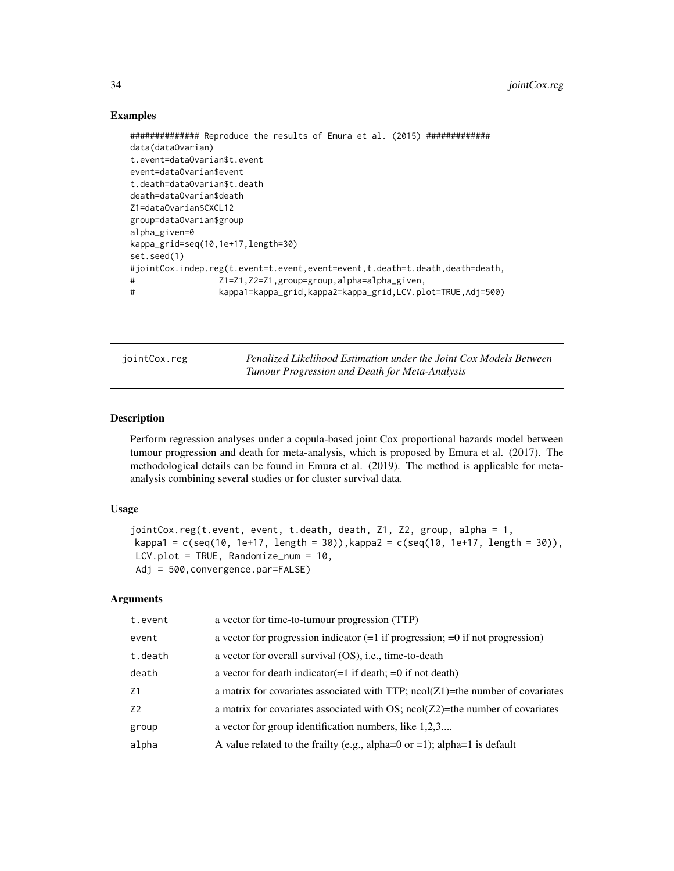#### Examples

```
############## Reproduce the results of Emura et al. (2015) #############
data(dataOvarian)
t.event=dataOvarian$t.event
event=dataOvarian$event
t.death=dataOvarian$t.death
death=dataOvarian$death
Z1=dataOvarian$CXCL12
group=dataOvarian$group
alpha_given=0
kappa_grid=seq(10,1e+17,length=30)
set.seed(1)
#jointCox.indep.reg(t.event=t.event,event=event,t.death=t.death,death=death,
# Z1=Z1,Z2=Z1,group=group,alpha=alpha_given,
# kappa1=kappa_grid,kappa2=kappa_grid,LCV.plot=TRUE,Adj=500)
```

| jointCox.reg |
|--------------|
|--------------|

jointCox.reg *Penalized Likelihood Estimation under the Joint Cox Models Between Tumour Progression and Death for Meta-Analysis*

#### Description

Perform regression analyses under a copula-based joint Cox proportional hazards model between tumour progression and death for meta-analysis, which is proposed by Emura et al. (2017). The methodological details can be found in Emura et al. (2019). The method is applicable for metaanalysis combining several studies or for cluster survival data.

#### Usage

```
jointCox.reg(t.event, event, t.death, death, Z1, Z2, group, alpha = 1,
kappa = c(seq(10, 1e+17, length = 30)), kappa = c(seq(10, 1e+17, length = 30)),LCV.plot = TRUE, Randomize_num = 10,
Adj = 500,convergence.par=FALSE)
```
#### Arguments

| t.event        | a vector for time-to-tumour progression (TTP)                                     |
|----------------|-----------------------------------------------------------------------------------|
| event          | a vector for progression indicator $(=1$ if progression; $=0$ if not progression) |
| t.death        | a vector for overall survival (OS), i.e., time-to-death                           |
| death          | a vector for death indicator $(=1$ if death; $=0$ if not death)                   |
| Z1             | a matrix for covariates associated with TTP; $ncol(Z1)$ =the number of covariates |
| Z <sub>2</sub> | a matrix for covariates associated with OS; $ncol(Z2)$ =the number of covariates  |
| group          | a vector for group identification numbers, like 1,2,3                             |
| alpha          | A value related to the frailty (e.g., alpha= $0$ or =1); alpha= $1$ is default    |
|                |                                                                                   |

<span id="page-33-0"></span>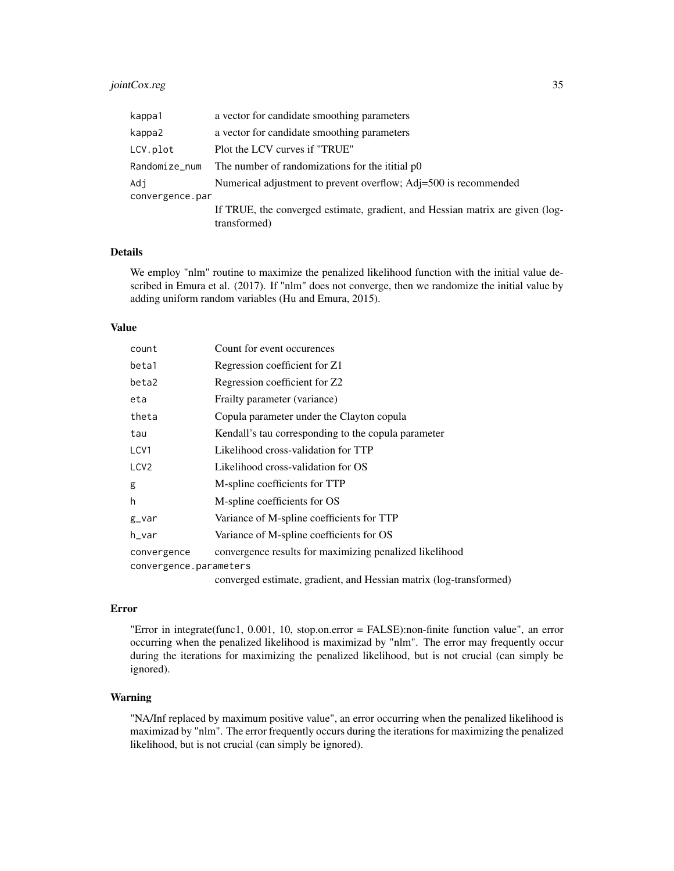#### jointCox.reg 35

| kappa1          | a vector for candidate smoothing parameters                                                   |  |
|-----------------|-----------------------------------------------------------------------------------------------|--|
| kappa2          | a vector for candidate smoothing parameters                                                   |  |
| LCV.plot        | Plot the LCV curves if "TRUE"                                                                 |  |
| Randomize_num   | The number of randomizations for the ititial p0                                               |  |
| Adj             | Numerical adjustment to prevent overflow; Adj=500 is recommended                              |  |
| convergence.par |                                                                                               |  |
|                 | If TRUE, the converged estimate, gradient, and Hessian matrix are given (log-<br>transformed) |  |

#### Details

We employ "nlm" routine to maximize the penalized likelihood function with the initial value described in Emura et al. (2017). If "nlm" does not converge, then we randomize the initial value by adding uniform random variables (Hu and Emura, 2015).

#### Value

| count                  | Count for event occurences                                         |
|------------------------|--------------------------------------------------------------------|
| beta1                  | Regression coefficient for Z1                                      |
| beta2                  | Regression coefficient for Z2                                      |
| eta                    | Frailty parameter (variance)                                       |
| theta                  | Copula parameter under the Clayton copula                          |
| tau                    | Kendall's tau corresponding to the copula parameter                |
| LCV1                   | Likelihood cross-validation for TTP                                |
| LCV2                   | Likelihood cross-validation for OS                                 |
| g                      | M-spline coefficients for TTP                                      |
| h                      | M-spline coefficients for OS                                       |
| g_var                  | Variance of M-spline coefficients for TTP                          |
| h_var                  | Variance of M-spline coefficients for OS                           |
| convergence            | convergence results for maximizing penalized likelihood            |
| convergence.parameters |                                                                    |
|                        | converged estimate, gradient, and Hessian matrix (log-transformed) |

#### Error

"Error in integrate(func1, 0.001, 10, stop.on.error = FALSE):non-finite function value", an error occurring when the penalized likelihood is maximizad by "nlm". The error may frequently occur during the iterations for maximizing the penalized likelihood, but is not crucial (can simply be ignored).

#### Warning

"NA/Inf replaced by maximum positive value", an error occurring when the penalized likelihood is maximizad by "nlm". The error frequently occurs during the iterations for maximizing the penalized likelihood, but is not crucial (can simply be ignored).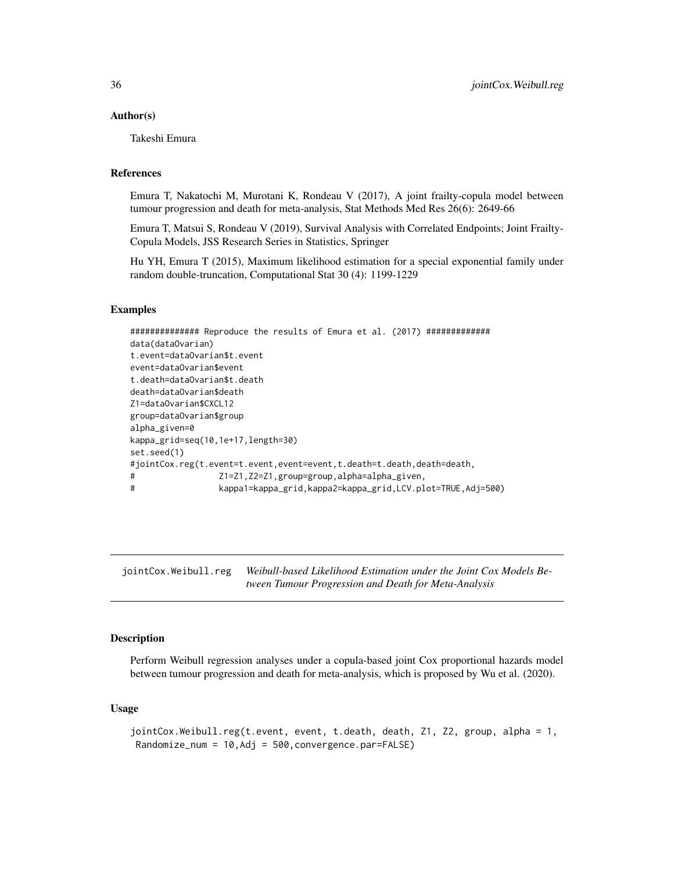#### <span id="page-35-0"></span>Author(s)

Takeshi Emura

#### References

Emura T, Nakatochi M, Murotani K, Rondeau V (2017), A joint frailty-copula model between tumour progression and death for meta-analysis, Stat Methods Med Res 26(6): 2649-66

Emura T, Matsui S, Rondeau V (2019), Survival Analysis with Correlated Endpoints; Joint Frailty-Copula Models, JSS Research Series in Statistics, Springer

Hu YH, Emura T (2015), Maximum likelihood estimation for a special exponential family under random double-truncation, Computational Stat 30 (4): 1199-1229

#### Examples

```
############## Reproduce the results of Emura et al. (2017) #############
data(dataOvarian)
t.event=dataOvarian$t.event
event=dataOvarian$event
t.death=dataOvarian$t.death
death=dataOvarian$death
Z1=dataOvarian$CXCL12
group=dataOvarian$group
alpha_given=0
kappa_grid=seq(10,1e+17,length=30)
set.seed(1)
#jointCox.reg(t.event=t.event,event=event,t.death=t.death,death=death,
# Z1=Z1,Z2=Z1,group=group,alpha=alpha_given,
# kappa1=kappa_grid,kappa2=kappa_grid,LCV.plot=TRUE,Adj=500)
```
jointCox.Weibull.reg *Weibull-based Likelihood Estimation under the Joint Cox Models Between Tumour Progression and Death for Meta-Analysis*

#### **Description**

Perform Weibull regression analyses under a copula-based joint Cox proportional hazards model between tumour progression and death for meta-analysis, which is proposed by Wu et al. (2020).

#### Usage

```
jointCox.Weibull.reg(t.event, event, t.death, death, Z1, Z2, group, alpha = 1,
Randomize_num = 10,Adj = 500,convergence.par=FALSE)
```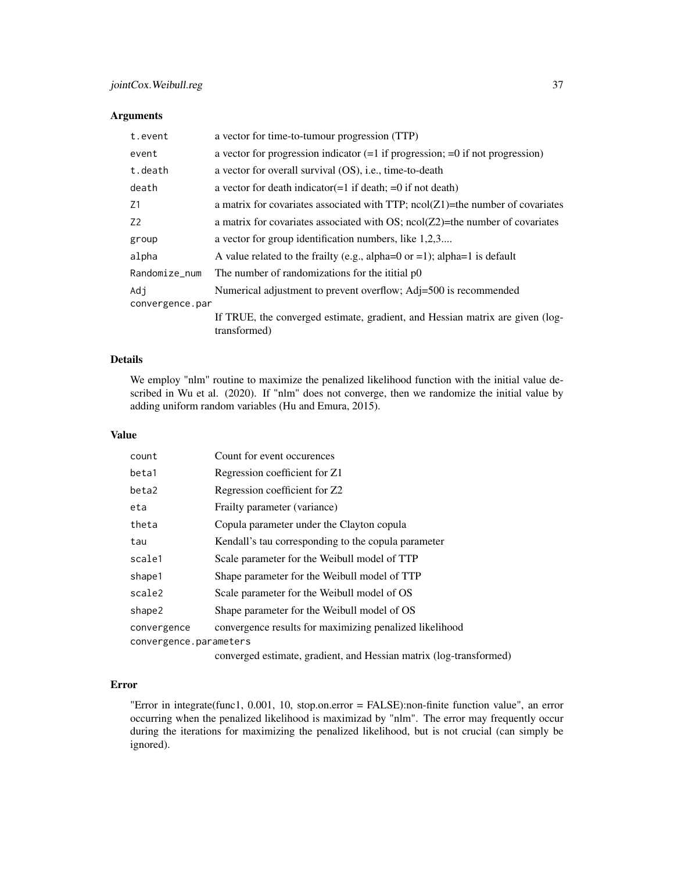### Arguments

| t.event         | a vector for time-to-tumour progression (TTP)                                                 |  |
|-----------------|-----------------------------------------------------------------------------------------------|--|
| event           | a vector for progression indicator $(=1$ if progression; $=0$ if not progression)             |  |
| t.death         | a vector for overall survival (OS), i.e., time-to-death                                       |  |
| death           | a vector for death indicator $(=1$ if death; $=0$ if not death)                               |  |
| Z1              | a matrix for covariates associated with TTP; $ncol(Z1)$ =the number of covariates             |  |
| Z <sub>2</sub>  | a matrix for covariates associated with OS; $ncol(Z2)$ =the number of covariates              |  |
| group           | a vector for group identification numbers, like 1,2,3                                         |  |
| alpha           | A value related to the frailty (e.g., alpha=0 or =1); alpha=1 is default                      |  |
| Randomize_num   | The number of randomizations for the ititial p0                                               |  |
| Adi             | Numerical adjustment to prevent overflow; Adj=500 is recommended                              |  |
| convergence.par |                                                                                               |  |
|                 | If TRUE, the converged estimate, gradient, and Hessian matrix are given (log-<br>transformed) |  |

#### Details

We employ "nlm" routine to maximize the penalized likelihood function with the initial value described in Wu et al. (2020). If "nlm" does not converge, then we randomize the initial value by adding uniform random variables (Hu and Emura, 2015).

#### Value

| count                  | Count for event occurences                                         |
|------------------------|--------------------------------------------------------------------|
| beta1                  | Regression coefficient for Z1                                      |
| beta2                  | Regression coefficient for Z2                                      |
| eta                    | Frailty parameter (variance)                                       |
| theta                  | Copula parameter under the Clayton copula                          |
| tau                    | Kendall's tau corresponding to the copula parameter                |
| scale1                 | Scale parameter for the Weibull model of TTP                       |
| shape1                 | Shape parameter for the Weibull model of TTP                       |
| scale2                 | Scale parameter for the Weibull model of OS                        |
| shape2                 | Shape parameter for the Weibull model of OS                        |
| convergence            | convergence results for maximizing penalized likelihood            |
| convergence.parameters |                                                                    |
|                        | converged estimate, gradient, and Hessian matrix (log-transformed) |

#### Error

"Error in integrate(func1, 0.001, 10, stop.on.error = FALSE):non-finite function value", an error occurring when the penalized likelihood is maximizad by "nlm". The error may frequently occur during the iterations for maximizing the penalized likelihood, but is not crucial (can simply be ignored).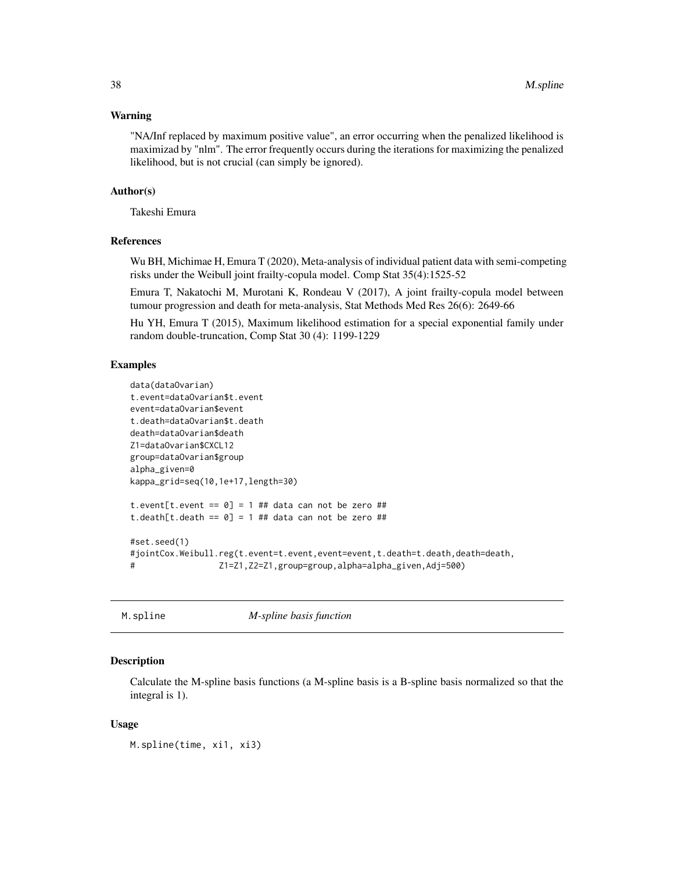#### <span id="page-37-0"></span>Warning

"NA/Inf replaced by maximum positive value", an error occurring when the penalized likelihood is maximizad by "nlm". The error frequently occurs during the iterations for maximizing the penalized likelihood, but is not crucial (can simply be ignored).

#### Author(s)

Takeshi Emura

#### References

Wu BH, Michimae H, Emura T (2020), Meta-analysis of individual patient data with semi-competing risks under the Weibull joint frailty-copula model. Comp Stat 35(4):1525-52

Emura T, Nakatochi M, Murotani K, Rondeau V (2017), A joint frailty-copula model between tumour progression and death for meta-analysis, Stat Methods Med Res 26(6): 2649-66

Hu YH, Emura T (2015), Maximum likelihood estimation for a special exponential family under random double-truncation, Comp Stat 30 (4): 1199-1229

#### Examples

```
data(dataOvarian)
t.event=dataOvarian$t.event
event=dataOvarian$event
t.death=dataOvarian$t.death
death=dataOvarian$death
Z1=dataOvarian$CXCL12
group=dataOvarian$group
alpha_given=0
kappa_grid=seq(10,1e+17,length=30)
t.event[t.event == 0] = 1 ## data can not be zero ##
t.death[t.death == \theta] = 1 ## data can not be zero ##
#set.seed(1)
#jointCox.Weibull.reg(t.event=t.event,event=event,t.death=t.death,death=death,
# Z1=Z1,Z2=Z1,group=group,alpha=alpha_given,Adj=500)
```
M.spline *M-spline basis function*

#### **Description**

Calculate the M-spline basis functions (a M-spline basis is a B-spline basis normalized so that the integral is 1).

#### Usage

M.spline(time, xi1, xi3)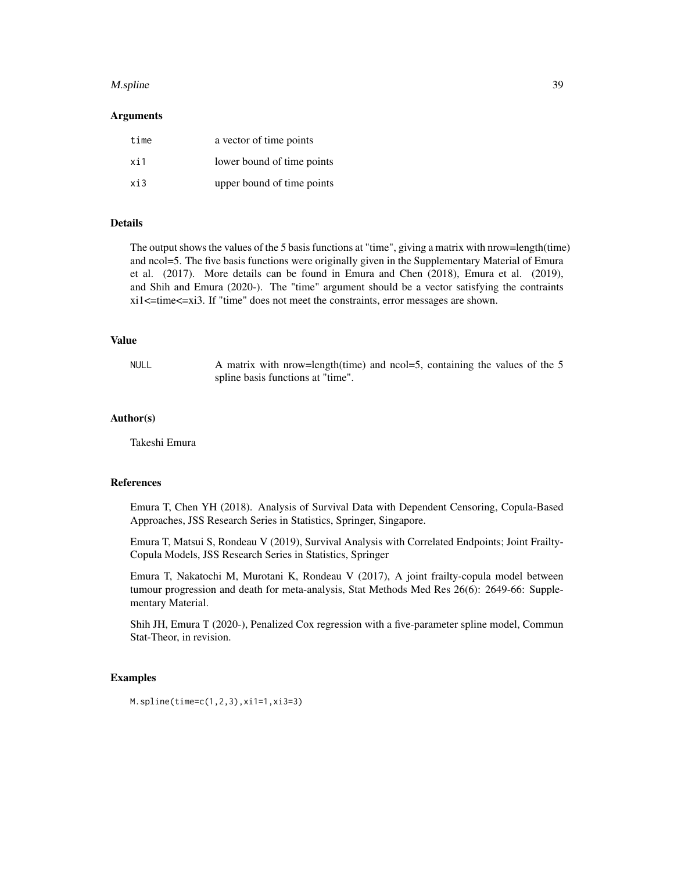#### M.spline 39

#### Arguments

| time | a vector of time points    |
|------|----------------------------|
| xi1  | lower bound of time points |
| xi3  | upper bound of time points |

#### Details

The output shows the values of the 5 basis functions at "time", giving a matrix with nrow=length(time) and ncol=5. The five basis functions were originally given in the Supplementary Material of Emura et al. (2017). More details can be found in Emura and Chen (2018), Emura et al. (2019), and Shih and Emura (2020-). The "time" argument should be a vector satisfying the contraints xi1<=time<=xi3. If "time" does not meet the constraints, error messages are shown.

#### Value

NULL A matrix with nrow=length(time) and ncol=5, containing the values of the 5 spline basis functions at "time".

#### Author(s)

Takeshi Emura

#### References

Emura T, Chen YH (2018). Analysis of Survival Data with Dependent Censoring, Copula-Based Approaches, JSS Research Series in Statistics, Springer, Singapore.

Emura T, Matsui S, Rondeau V (2019), Survival Analysis with Correlated Endpoints; Joint Frailty-Copula Models, JSS Research Series in Statistics, Springer

Emura T, Nakatochi M, Murotani K, Rondeau V (2017), A joint frailty-copula model between tumour progression and death for meta-analysis, Stat Methods Med Res 26(6): 2649-66: Supplementary Material.

Shih JH, Emura T (2020-), Penalized Cox regression with a five-parameter spline model, Commun Stat-Theor, in revision.

#### Examples

M.spline(time=c(1,2,3),xi1=1,xi3=3)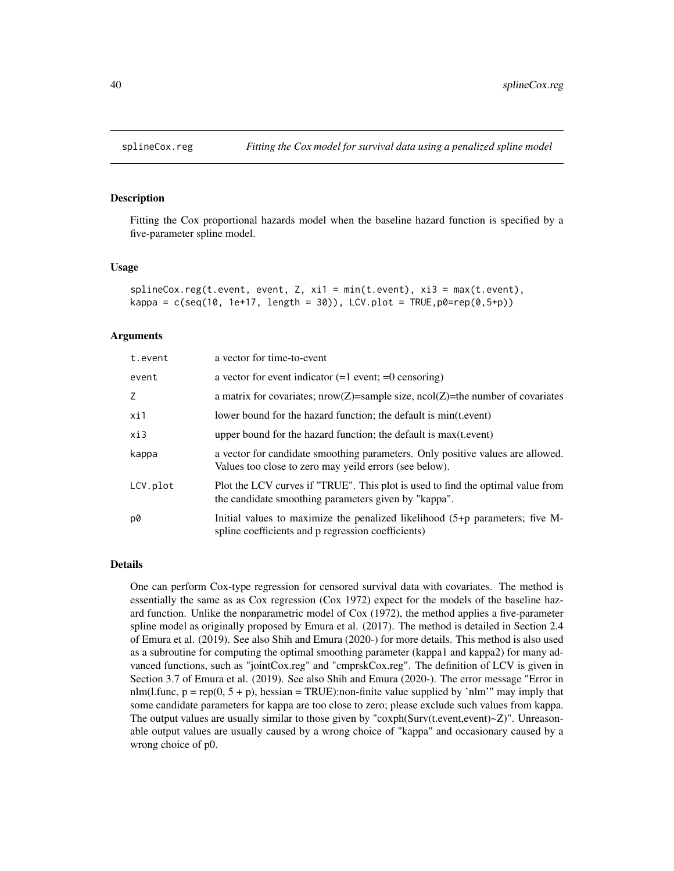<span id="page-39-0"></span>

#### Description

Fitting the Cox proportional hazards model when the baseline hazard function is specified by a five-parameter spline model.

#### Usage

```
splineCox.reg(t.event, event, Z, xi1 = min(t.event), xi3 = max(t.event),
kappa = c(seq(10, 1e+17, length = 30)), LCV.plot = TRUE,p0=rep(0,5+p))
```
#### Arguments

| t.event  | a vector for time-to-event                                                                                                               |
|----------|------------------------------------------------------------------------------------------------------------------------------------------|
| event    | a vector for event indicator $(=1$ event; $=0$ censoring)                                                                                |
| Z        | a matrix for covariates; $nrow(Z)=sample size$ , $ncol(Z)=the$ number of covariates                                                      |
| xi1      | lower bound for the hazard function; the default is min(t.event)                                                                         |
| xi3      | upper bound for the hazard function; the default is max(t.event)                                                                         |
| kappa    | a vector for candidate smoothing parameters. Only positive values are allowed.<br>Values too close to zero may yeild errors (see below). |
| LCV.plot | Plot the LCV curves if "TRUE". This plot is used to find the optimal value from<br>the candidate smoothing parameters given by "kappa".  |
| p0       | Initial values to maximize the penalized likelihood (5+p parameters; five M-<br>spline coefficients and p regression coefficients)       |

#### Details

One can perform Cox-type regression for censored survival data with covariates. The method is essentially the same as as Cox regression (Cox 1972) expect for the models of the baseline hazard function. Unlike the nonparametric model of Cox (1972), the method applies a five-parameter spline model as originally proposed by Emura et al. (2017). The method is detailed in Section 2.4 of Emura et al. (2019). See also Shih and Emura (2020-) for more details. This method is also used as a subroutine for computing the optimal smoothing parameter (kappa1 and kappa2) for many advanced functions, such as "jointCox.reg" and "cmprskCox.reg". The definition of LCV is given in Section 3.7 of Emura et al. (2019). See also Shih and Emura (2020-). The error message "Error in nlm(l.func,  $p = rep(0, 5 + p)$ , hessian = TRUE):non-finite value supplied by 'nlm'" may imply that some candidate parameters for kappa are too close to zero; please exclude such values from kappa. The output values are usually similar to those given by "coxph(Surv(t.event,event) $\sim$ Z)". Unreasonable output values are usually caused by a wrong choice of "kappa" and occasionary caused by a wrong choice of p0.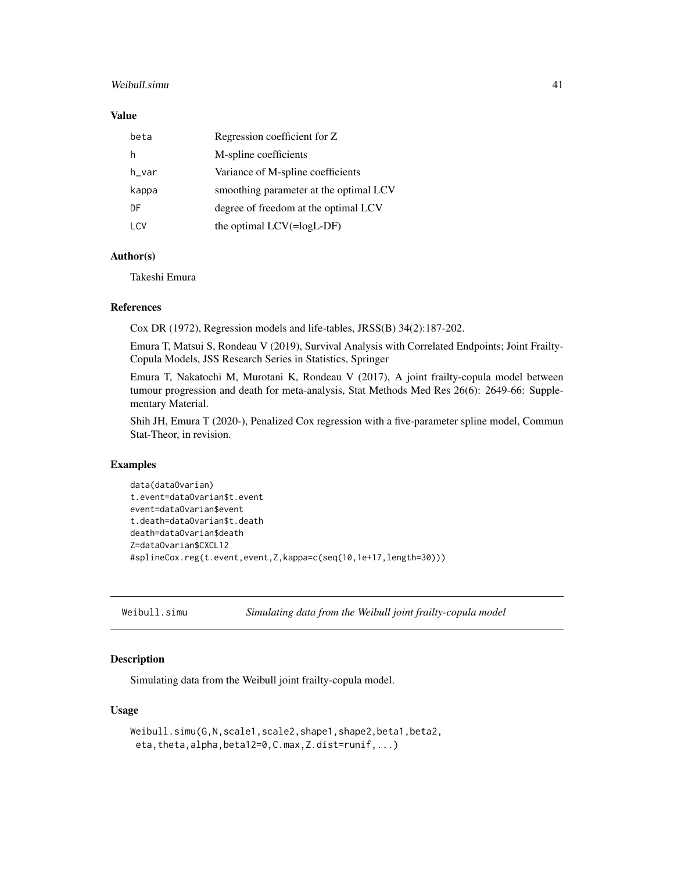#### <span id="page-40-0"></span>Weibull.simu 41

#### Value

| beta  | Regression coefficient for Z           |
|-------|----------------------------------------|
| h     | M-spline coefficients                  |
| h_var | Variance of M-spline coefficients      |
| kappa | smoothing parameter at the optimal LCV |
| DF    | degree of freedom at the optimal LCV   |
| i CV  | the optimal $LCV(=\log L-DF)$          |

#### Author(s)

Takeshi Emura

#### References

Cox DR (1972), Regression models and life-tables, JRSS(B) 34(2):187-202.

Emura T, Matsui S, Rondeau V (2019), Survival Analysis with Correlated Endpoints; Joint Frailty-Copula Models, JSS Research Series in Statistics, Springer

Emura T, Nakatochi M, Murotani K, Rondeau V (2017), A joint frailty-copula model between tumour progression and death for meta-analysis, Stat Methods Med Res 26(6): 2649-66: Supplementary Material.

Shih JH, Emura T (2020-), Penalized Cox regression with a five-parameter spline model, Commun Stat-Theor, in revision.

#### Examples

```
data(dataOvarian)
t.event=dataOvarian$t.event
event=dataOvarian$event
t.death=dataOvarian$t.death
death=dataOvarian$death
Z=dataOvarian$CXCL12
#splineCox.reg(t.event,event,Z,kappa=c(seq(10,1e+17,length=30)))
```
Weibull.simu *Simulating data from the Weibull joint frailty-copula model*

#### Description

Simulating data from the Weibull joint frailty-copula model.

#### Usage

```
Weibull.simu(G,N,scale1,scale2,shape1,shape2,beta1,beta2,
eta,theta,alpha,beta12=0,C.max,Z.dist=runif,...)
```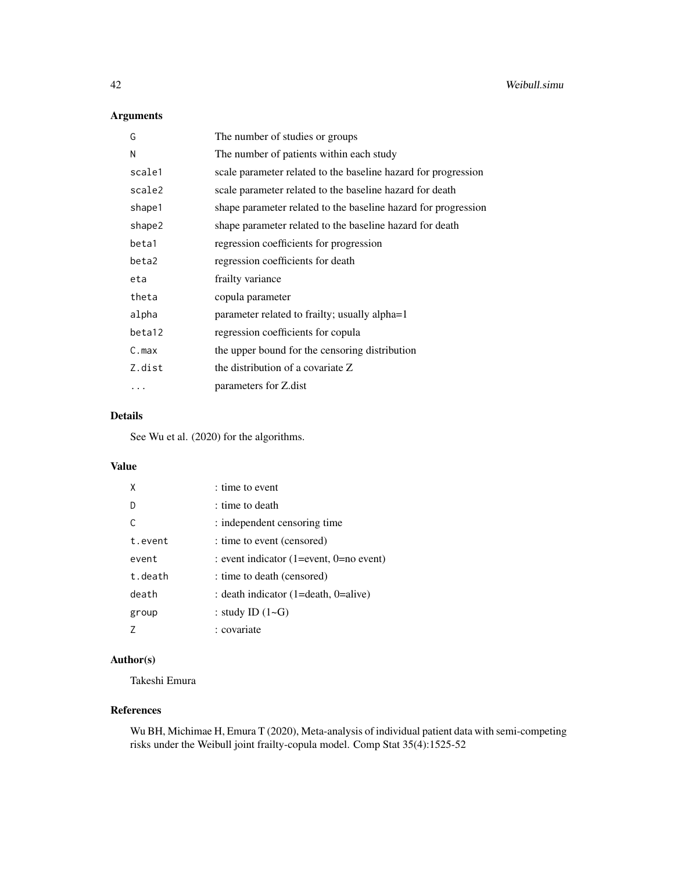### Arguments

| G      | The number of studies or groups                                |
|--------|----------------------------------------------------------------|
| N      | The number of patients within each study                       |
| scale1 | scale parameter related to the baseline hazard for progression |
| scale2 | scale parameter related to the baseline hazard for death       |
| shape1 | shape parameter related to the baseline hazard for progression |
| shape2 | shape parameter related to the baseline hazard for death       |
| beta1  | regression coefficients for progression                        |
| beta2  | regression coefficients for death                              |
| eta    | frailty variance                                               |
| theta  | copula parameter                                               |
| alpha  | parameter related to frailty; usually alpha=1                  |
| beta12 | regression coefficients for copula                             |
| C.max  | the upper bound for the censoring distribution                 |
| Z.dist | the distribution of a covariate Z                              |
|        | parameters for Z.dist                                          |
|        |                                                                |

#### Details

See Wu et al. (2020) for the algorithms.

### Value

| χ            | : time to event                         |
|--------------|-----------------------------------------|
| D            | : time to death                         |
| $\mathsf{C}$ | : independent censoring time            |
| t event      | : time to event (censored)              |
| event        | : event indicator (1=event, 0=no event) |
| t death      | : time to death (censored)              |
| death        | : death indicator (1=death, 0=alive)    |
| group        | : study ID $(1-\text{G})$               |
|              | : covariate                             |

### Author(s)

Takeshi Emura

#### References

Wu BH, Michimae H, Emura T (2020), Meta-analysis of individual patient data with semi-competing risks under the Weibull joint frailty-copula model. Comp Stat 35(4):1525-52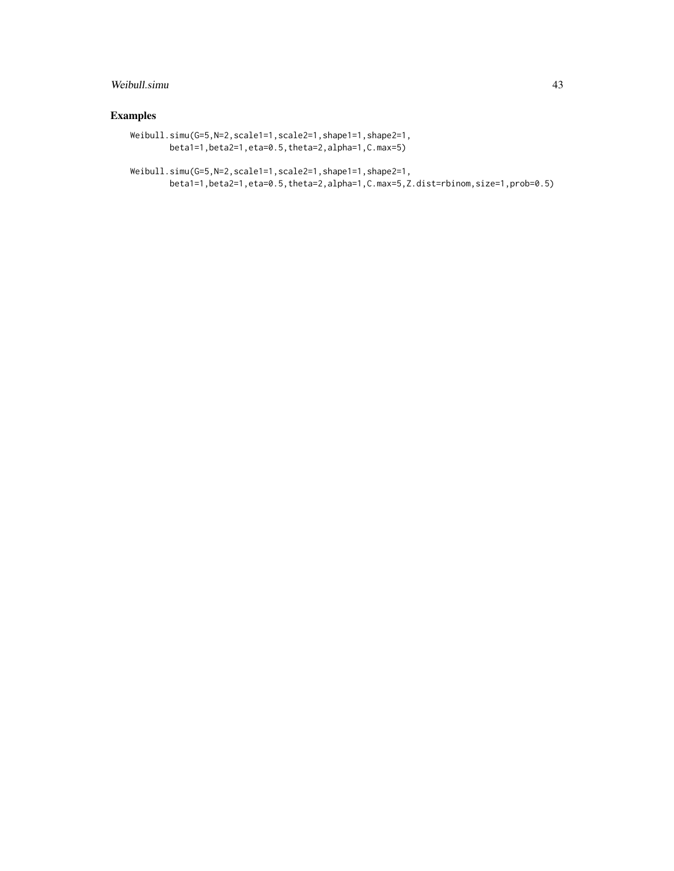#### Weibull.simu 43

#### Examples

```
Weibull.simu(G=5,N=2,scale1=1,scale2=1,shape1=1,shape2=1,
       beta1=1,beta2=1,eta=0.5,theta=2,alpha=1,C.max=5)
Weibull.simu(G=5,N=2,scale1=1,scale2=1,shape1=1,shape2=1,
       beta1=1,beta2=1,eta=0.5,theta=2,alpha=1,C.max=5,Z.dist=rbinom,size=1,prob=0.5)
```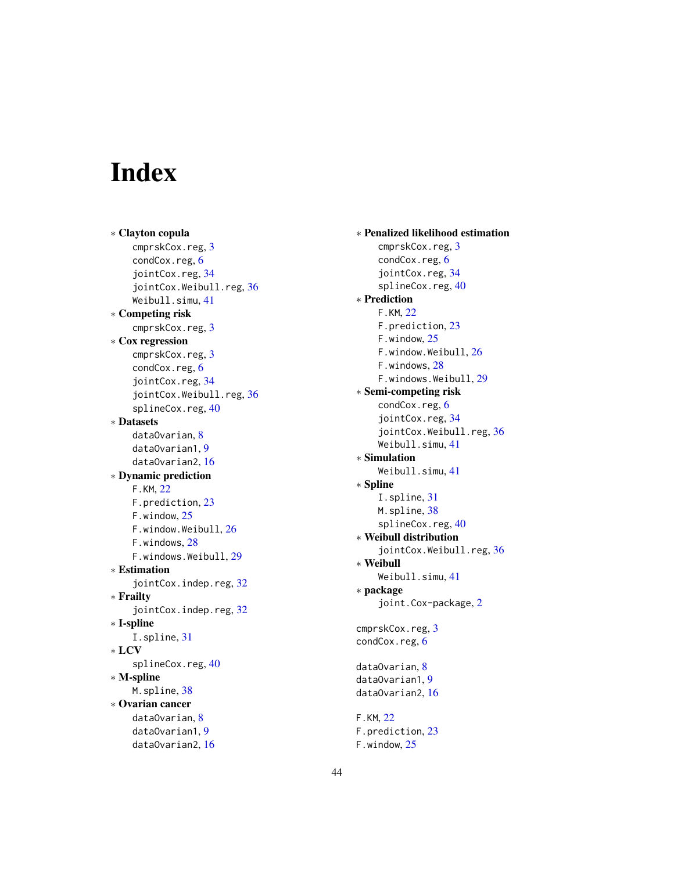## <span id="page-43-0"></span>Index

∗ Clayton copula cmprskCox.reg, [3](#page-2-0) condCox.reg, [6](#page-5-0) jointCox.reg, [34](#page-33-0) jointCox.Weibull.reg, [36](#page-35-0) Weibull.simu , [41](#page-40-0) ∗ Competing risk cmprskCox.reg, [3](#page-2-0) ∗ Cox regression cmprskCox.reg, [3](#page-2-0) condCox.reg, [6](#page-5-0) jointCox.reg, [34](#page-33-0) jointCox.Weibull.reg, [36](#page-35-0) splineCox.reg, [40](#page-39-0) ∗ Datasets dataOvarian, [8](#page-7-0) dataOvarian1 , [9](#page-8-0) dataOvarian2, [16](#page-15-0) ∗ Dynamic prediction F.KM , [22](#page-21-0) F.prediction , [23](#page-22-0) F.window , [25](#page-24-0) F.window.Weibull , [26](#page-25-0) F.windows , [28](#page-27-0) F.windows.Weibull , [29](#page-28-0) ∗ Estimation jointCox.indep.reg, [32](#page-31-0) ∗ Frailty jointCox.indep.reg, [32](#page-31-0) ∗ I-spline I.spline , [31](#page-30-0) ∗ LCV splineCox.reg, [40](#page-39-0) ∗ M-spline M.spline, [38](#page-37-0) ∗ Ovarian cancer dataOvarian, [8](#page-7-0) dataOvarian1, [9](#page-8-0) dataOvarian2 , [16](#page-15-0)

∗ Penalized likelihood estimation cmprskCox.reg , [3](#page-2-0) condCox.reg, [6](#page-5-0) jointCox.reg, [34](#page-33-0) splineCox.reg, [40](#page-39-0) ∗ Prediction F.KM , [22](#page-21-0) F.prediction , [23](#page-22-0) F.window, [25](#page-24-0) F.window.Weibull , [26](#page-25-0) F.windows, [28](#page-27-0) F.windows.Weibull , [29](#page-28-0) ∗ Semi-competing risk condCox.reg, [6](#page-5-0) jointCox.reg, [34](#page-33-0) jointCox.Weibull.reg, [36](#page-35-0) Weibull.simu , [41](#page-40-0) ∗ Simulation Weibull.simu , [41](#page-40-0) ∗ Spline I.spline , [31](#page-30-0) M.spline, [38](#page-37-0) splineCox.reg, [40](#page-39-0) ∗ Weibull distribution jointCox.Weibull.reg, [36](#page-35-0) ∗ Weibull Weibull.simu , [41](#page-40-0) ∗ package joint.Cox-package , [2](#page-1-0) cmprskCox.reg , [3](#page-2-0) condCox.reg, [6](#page-5-0) dataOvarian, <mark>[8](#page-7-0)</mark> dataOvarian1 , [9](#page-8-0) dataOvarian2 , [16](#page-15-0) F.KM , [22](#page-21-0) F.prediction , [23](#page-22-0)

F.window , [25](#page-24-0)